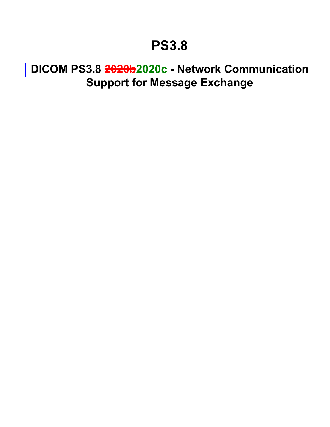# <span id="page-0-0"></span>**DICOM PS3.8 2020b2020c - Network Communication Support for Message Exchange**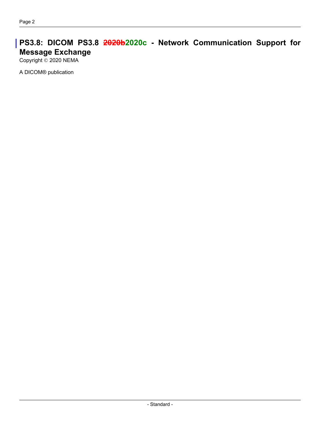# **PS3.8: DICOM PS3.8 2020b2020c - Network Communication Support for Message Exchange**

Copyright © 2020 NEMA

A DICOM® publication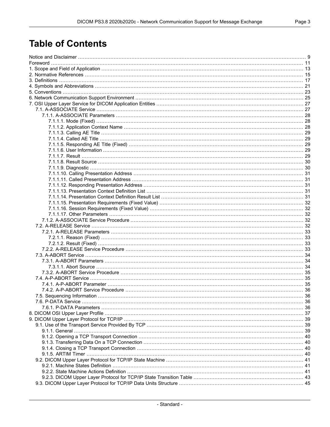# **Table of Contents**

| 7.5. Sequencing Information |  |
|-----------------------------|--|
|                             |  |
|                             |  |
|                             |  |
|                             |  |
|                             |  |
|                             |  |
|                             |  |
|                             |  |
|                             |  |
|                             |  |
|                             |  |
|                             |  |
|                             |  |
|                             |  |
|                             |  |
|                             |  |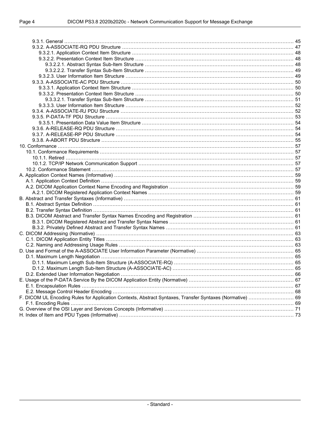| F. DICOM UL Encoding Rules for Application Contexts, Abstract Syntaxes, Transfer Syntaxes (Normative)  69 |  |
|-----------------------------------------------------------------------------------------------------------|--|
|                                                                                                           |  |
|                                                                                                           |  |
|                                                                                                           |  |
|                                                                                                           |  |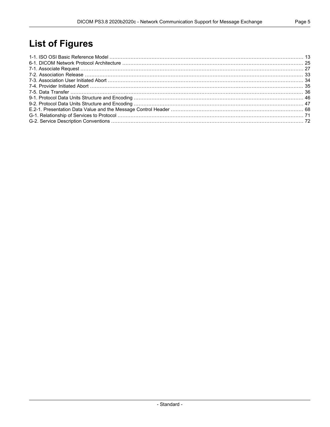# **List of Figures**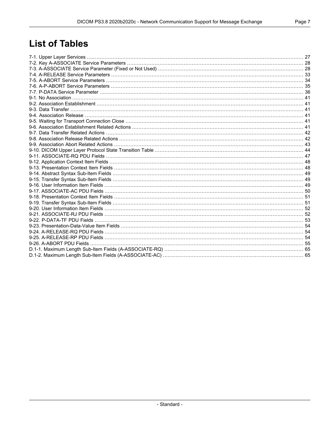# **List of Tables**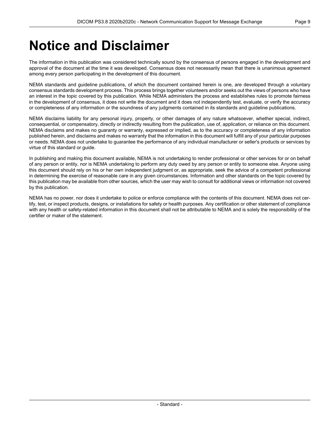# <span id="page-8-0"></span>**Notice and Disclaimer**

The information in this publication was considered technically sound by the consensus of persons engaged in the development and approval of the document at the time it was developed. Consensus does not necessarily mean that there is unanimous agreement among every person participating in the development of this document.

NEMA standards and guideline publications, of which the document contained herein is one, are developed through a voluntary consensus standards development process. This process brings together volunteers and/or seeks out the views of persons who have an interest in the topic covered by this publication. While NEMA administers the process and establishes rules to promote fairness in the development of consensus, it does not write the document and it does not independently test, evaluate, or verify the accuracy or completeness of any information or the soundness of any judgments contained in its standards and guideline publications.

NEMA disclaims liability for any personal injury, property, or other damages of any nature whatsoever, whether special, indirect, consequential, or compensatory, directly or indirectly resulting from the publication, use of, application, or reliance on this document. NEMA disclaims and makes no guaranty or warranty, expressed or implied, as to the accuracy or completeness of any information published herein, and disclaims and makes no warranty that the information in this document will fulfill any of your particular purposes or needs. NEMA does not undertake to guarantee the performance of any individual manufacturer or seller's products or services by virtue of this standard or guide.

In publishing and making this document available, NEMA is not undertaking to render professional or other services for or on behalf of any person or entity, nor is NEMA undertaking to perform any duty owed by any person or entity to someone else. Anyone using this document should rely on his or her own independent judgment or, as appropriate, seek the advice of a competent professional in determining the exercise of reasonable care in any given circumstances. Information and other standards on the topic covered by this publication may be available from other sources, which the user may wish to consult for additional views or information not covered by this publication.

NEMA has no power, nor does it undertake to police or enforce compliance with the contents of this document. NEMA does not cer tify, test, or inspect products, designs, or installations for safety or health purposes. Any certification or other statement of compliance with any health or safety-related information in this document shall not be attributable to NEMA and is solely the responsibility of the certifier or maker of the statement.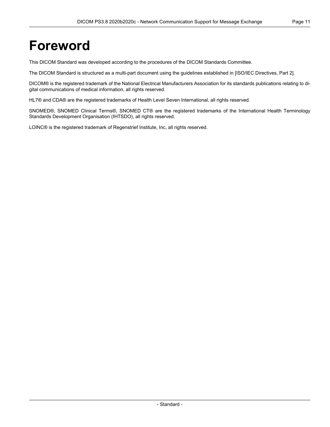# <span id="page-10-0"></span>**Foreword**

This DICOM Standard was developed according to the procedures of the DICOM Standards Committee.

The DICOM Standard is structured as a multi-part document using the guidelines established in [ISO/IEC [Directives,](#page-14-1) Part 2].

DICOM® is the registered trademark of the National Electrical Manufacturers Association for its standards publications relating to di gital communications of medical information, all rights reserved.

HL7® and CDA® are the registered trademarks of Health Level Seven International, all rights reserved.

SNOMED®, SNOMED Clinical Terms®, SNOMED CT® are the registered trademarks of the International Health Terminology Standards Development Organisation (IHTSDO), all rights reserved.

LOINC® is the registered trademark of Regenstrief Institute, Inc, all rights reserved.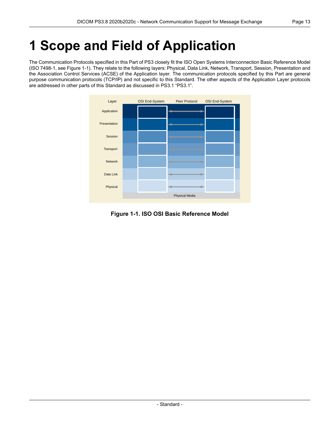# <span id="page-12-0"></span>**1 Scope and Field of Application**

<span id="page-12-1"></span>The Communication Protocols specified in this Part of PS3 closely fit the ISO Open Systems Interconnection Basic Reference Model (ISO 7498-1, see [Figure](#page-12-1) 1-1). They relate to the following layers: Physical, Data Link, Network, Transport, Session, Presentation and the Association Control Services (ACSE) of the Application layer. The communication protocols specified by this Part are general purpose communication protocols (TCP/IP) and not specific to this Standard. The other aspects of the Application Layer protocols are addressed in other parts of this Standard as discussed in PS3.1 ["PS3.1".](part01.pdf#PS3.1)



**Figure 1-1. ISO OSI Basic Reference Model**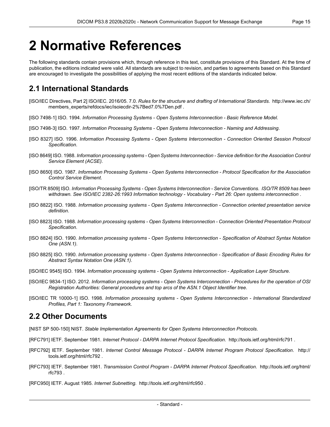# <span id="page-14-0"></span>**2 Normative References**

The following standards contain provisions which, through reference in this text, constitute provisions of this Standard. At the time of publication, the editions indicated were valid. All standards are subject to revision, and parties to agreements based on this Standard are encouraged to investigate the possibilities of applying the most recent editions of the standards indicated below.

# <span id="page-14-1"></span>**2.1 International Standards**

- <span id="page-14-2"></span>[ISO/IEC Directives, Part 2] ISO/IEC. 2016/05. 7.0. *Rules for the structure and drafting of International Standards*. [http://www.iec.ch/](http://www.iec.ch/members_experts/refdocs/iec/isoiecdir-2%7Bed7.0%7Den.pdf) [members\\_experts/refdocs/iec/isoiecdir-2%7Bed7.0%7Den.pdf](http://www.iec.ch/members_experts/refdocs/iec/isoiecdir-2%7Bed7.0%7Den.pdf) .
- <span id="page-14-3"></span>[ISO 7498-1] ISO. 1994. *Information Processing Systems - Open Systems Interconnection - Basic Reference Model*.
- [ISO 7498-3] ISO. 1997. *Information Processing Systems - Open Systems Interconnection - Naming and Addressing*.
- <span id="page-14-6"></span>[ISO 8327] ISO. 1996. *Information Processing Systems - Open Systems Interconnection - Connection Oriented Session Protocol Specification*.
- [ISO 8649] ISO. 1988. Information processing systems Open Systems Interconnection Service definition for the Association Control *Service Element (ACSE)*.
- <span id="page-14-4"></span>[ISO 8650] ISO. 1987. *Information Processing Systems - Open Systems Interconnection - Protocol Specification for the Association Control Service Element*.
- <span id="page-14-5"></span>[ISO/TR 8509] ISO. *Information Processing Systems - Open Systems Interconnection - Service Conventions*. *ISO/TR 8509 has been withdrawn. See ISO/IEC 2382-26:1993 Information technology - Vocabulary - Part 26: Open systems interconnection* .
- [ISO 8822] ISO. 1988. *Information processing systems - Open Systems Interconnection - Connection oriented presentation service definition*.
- [ISO 8823] ISO. 1988. *Information processing systems - Open Systems Interconnection - Connection Oriented Presentation Protocol Specification*.
- [ISO 8824] ISO. 1990. *Information processing systems - Open Systems Interconnection - Specification of Abstract Syntax Notation One (ASN.1)*.
- [ISO 8825] ISO. 1990. Information processing systems Open Systems Interconnection Specification of Basic Encoding Rules for *Abstract Syntax Notation One (ASN.1)*.
- [ISO/IEC 9545] ISO. 1994. *Information processing systems - Open Systems Interconnection - Application Layer Structure*.
- [ISO/IEC 9834-1] ISO. 2012. Information processing systems Open Systems Interconnection Procedures for the operation of OSI *Registration Authorities: General procedures and top arcs of the ASN.1 Object Identifier tree*.
- [ISO/IEC TR 10000-1] ISO. 1998. *Information processing systems - Open Systems Interconnection - International Standardized Profiles, Part 1: Taxonomy Framework*.

#### **2.2 Other Documents**

- [NIST SP 500-150] NIST. *Stable Implementation Agreements for Open Systems Interconnection Protocols*.
- [RFC791] IETF. September 1981. *Internet Protocol - DARPA Internet Protocol Specification*. <http://tools.ietf.org/html/rfc791> .
- [RFC792] IETF. September 1981. *Internet Control Message Protocol - DARPA Internet Program Protocol Specification*. [http://](http://tools.ietf.org/html/rfc792) [tools.ietf.org/html/rfc792](http://tools.ietf.org/html/rfc792) .
- [RFC793] IETF. September 1981. *Transmission Control Program - DARPA Internet Protocol Specification*. [http://tools.ietf.org/html/](http://tools.ietf.org/html/rfc793) [rfc793](http://tools.ietf.org/html/rfc793) .
- [RFC950] IETF. August 1985. *Internet Subnetting*. <http://tools.ietf.org/html/rfc950> .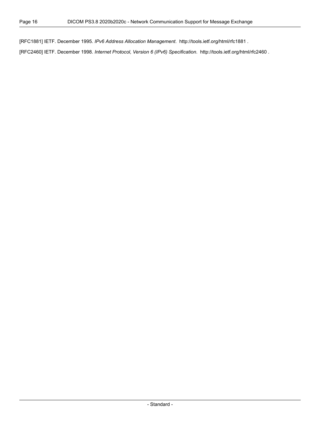[RFC1881] IETF. December 1995. *IPv6 Address Allocation Management*. <http://tools.ietf.org/html/rfc1881> .

[RFC2460] IETF. December 1998. *Internet Protocol, Version 6 (IPv6) Specification*. <http://tools.ietf.org/html/rfc2460> .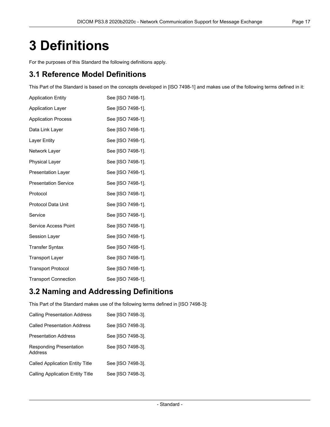# <span id="page-16-0"></span>**3 Definitions**

For the purposes of this Standard the following definitions apply.

## **3.1 Reference Model Definitions**

This Part of the Standard is based on the concepts developed in [ISO [7498-1\]](#page-14-2) and makes use of the following terms defined in it:

| <b>Application Entity</b>   | See [ISO 7498-1]. |
|-----------------------------|-------------------|
| <b>Application Layer</b>    | See [ISO 7498-1]. |
| <b>Application Process</b>  | See [ISO 7498-1]. |
| Data Link Layer             | See [ISO 7498-1]. |
| Layer Entity                | See [ISO 7498-1]. |
| Network Layer               | See [ISO 7498-1]. |
| <b>Physical Layer</b>       | See [ISO 7498-1]. |
| <b>Presentation Layer</b>   | See [ISO 7498-1]. |
| <b>Presentation Service</b> | See [ISO 7498-1]. |
| Protocol                    | See [ISO 7498-1]. |
| Protocol Data Unit          | See [ISO 7498-1]. |
| Service                     | See [ISO 7498-1]. |
| Service Access Point        | See [ISO 7498-1]. |
| Session Layer               | See [ISO 7498-1]. |
| <b>Transfer Syntax</b>      | See [ISO 7498-1]. |
| <b>Transport Layer</b>      | See [ISO 7498-1]. |
| <b>Transport Protocol</b>   | See [ISO 7498-1]. |
| <b>Transport Connection</b> | See [ISO 7498-1]. |

## **3.2 Naming and Addressing Definitions**

This Part of the Standard makes use of the following terms defined in [ISO [7498-3\]](#page-14-3):

| <b>Calling Presentation Address</b>       | See [ISO 7498-3]. |
|-------------------------------------------|-------------------|
| <b>Called Presentation Address</b>        | See [ISO 7498-3]. |
| <b>Presentation Address</b>               | See [ISO 7498-3]. |
| <b>Responding Presentation</b><br>Address | See [ISO 7498-3]. |
| <b>Called Application Entity Title</b>    | See [ISO 7498-3]. |
| <b>Calling Application Entity Title</b>   | See [ISO 7498-3]. |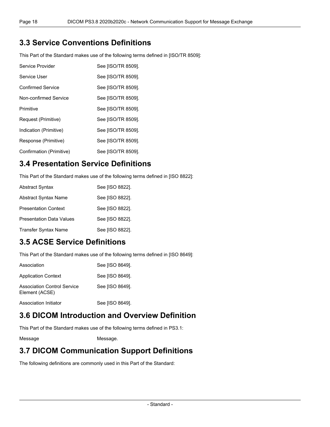## **3.3 Service Conventions Definitions**

This Part of the Standard makes use of the following terms defined in [\[ISO/TR](#page-14-4) 8509]:

| Service Provider         | See [ISO/TR 8509]. |
|--------------------------|--------------------|
| Service User             | See [ISO/TR 8509]. |
| <b>Confirmed Service</b> | See [ISO/TR 8509]. |
| Non-confirmed Service    | See [ISO/TR 8509]. |
| Primitive                | See [ISO/TR 8509]. |
| Request (Primitive)      | See [ISO/TR 8509]. |
| Indication (Primitive)   | See [ISO/TR 8509]. |
| Response (Primitive)     | See [ISO/TR 8509]. |
| Confirmation (Primitive) | See [ISO/TR 8509]. |

## **3.4 Presentation Service Definitions**

This Part of the Standard makes use of the following terms defined in [ISO [8822\]](#page-14-5):

| Abstract Syntax                 | See [ISO 8822]. |
|---------------------------------|-----------------|
| <b>Abstract Syntax Name</b>     | See [ISO 8822]. |
| <b>Presentation Context</b>     | See [ISO 8822]. |
| <b>Presentation Data Values</b> | See [ISO 8822]. |
| <b>Transfer Syntax Name</b>     | See [ISO 8822]. |

## **3.5 ACSE Service Definitions**

This Part of the Standard makes use of the following terms defined in [ISO [8649\]](#page-14-6):

| Association                                          | See [ISO 8649]. |
|------------------------------------------------------|-----------------|
| <b>Application Context</b>                           | See [ISO 8649]. |
| <b>Association Control Service</b><br>Element (ACSE) | See [ISO 8649]. |
| Association Initiator                                | See [ISO 8649]. |

### **3.6 DICOM Introduction and Overview Definition**

This Part of the Standard makes use of the following terms defined in [PS3.1:](part01.pdf#PS3.1)

Message [Message.](part01.pdf#glossentry_Message)

### **3.7 DICOM Communication Support Definitions**

The following definitions are commonly used in this Part of the Standard: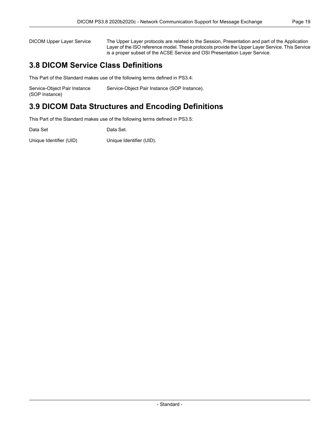DICOM Upper Layer Service The Upper Layer protocols are related to the Session, Presentation and part of the Application Layer of the ISO reference model. These protocols provide the Upper Layer Service. This Service is a proper subset of the ACSE Service and OSI Presentation Layer Service.

## **3.8 DICOM Service Class Definitions**

This Part of the Standard makes use of the following terms defined in [PS3.4:](part04.pdf#PS3.4)

| Service-Object Pair Instance | Service-Object Pair Instance (SOP Instance). |
|------------------------------|----------------------------------------------|
| (SOP Instance)               |                                              |

## **3.9 DICOM Data Structures and Encoding Definitions**

This Part of the Standard makes use of the following terms defined in [PS3.5:](part05.pdf#PS3.5)

| Data Set                | Data Set.                |
|-------------------------|--------------------------|
| Unique Identifier (UID) | Unique Identifier (UID). |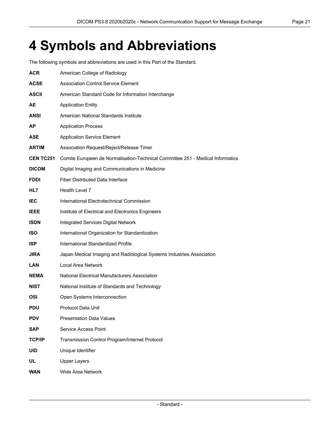# <span id="page-20-0"></span>**4 Symbols and Abbreviations**

The following symbols and abbreviations are used in this Part of the Standard.

| <b>ACR</b>      | American College of Radiology                                                  |
|-----------------|--------------------------------------------------------------------------------|
| <b>ACSE</b>     | <b>Association Control Service Element</b>                                     |
| ASCII           | American Standard Code for Information Interchange                             |
| AE              | <b>Application Entity</b>                                                      |
| ANSI            | American National Standards Institute                                          |
| ΑP              | <b>Application Process</b>                                                     |
| ASE             | <b>Application Service Element</b>                                             |
| ARTIM           | Association Request/Reject/Release Timer                                       |
| <b>CENTC251</b> | Comite Europeen de Normalisation-Technical Committee 251 - Medical Informatics |
| <b>DICOM</b>    | Digital Imaging and Communications in Medicine                                 |
| <b>FDDI</b>     | <b>Fiber Distributed Data Interface</b>                                        |
| HL7             | Health Level 7                                                                 |
| <b>IEC</b>      | International Electrotechnical Commission                                      |
| <b>IEEE</b>     | Institute of Electrical and Electronics Engineers                              |
| <b>ISDN</b>     | <b>Integrated Services Digital Network</b>                                     |
| <b>ISO</b>      | International Organization for Standardization                                 |
| <b>ISP</b>      | International Standardized Profile                                             |
| JIRA            | Japan Medical Imaging and Radiological Systems Industries Association          |
| <b>LAN</b>      | Local Area Network                                                             |
| <b>NEMA</b>     | National Electrical Manufacturers Association                                  |
| <b>NIST</b>     | National Institute of Standards and Technology                                 |
| OSI             | Open Systems Interconnection                                                   |
| PDU             | Protocol Data Unit                                                             |
| <b>PDV</b>      | <b>Presentation Data Values</b>                                                |
| <b>SAP</b>      | Service Access Point                                                           |
| <b>TCP/IP</b>   | Transmission Control Program/Internet Protocol                                 |
| <b>UID</b>      | Unique Identifier                                                              |
| UL              | <b>Upper Layers</b>                                                            |
| <b>WAN</b>      | Wide Area Network                                                              |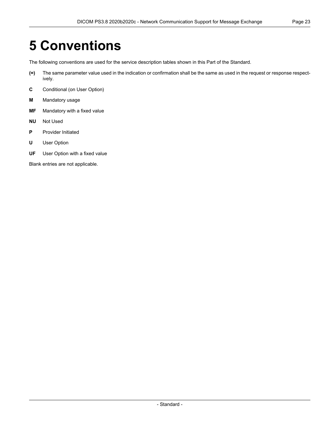# <span id="page-22-0"></span>**5 Conventions**

The following conventions are used for the service description tables shown in this Part of the Standard.

- **(=)** The same parameter value used in the indication or confirmation shall be the same as used in the request or response respect ively.
- **C** Conditional (on User Option)
- **M** Mandatory usage
- **MF** Mandatory with a fixed value
- **NU** Not Used
- **P** Provider Initiated
- **U** User Option
- **UF** User Option with a fixed value

Blank entries are not applicable.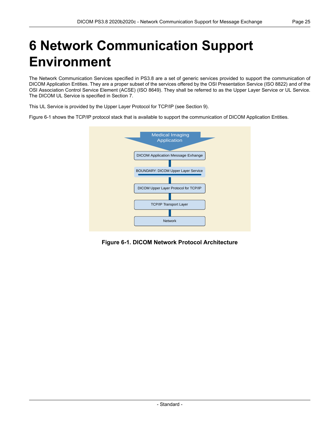# <span id="page-24-0"></span>**6 Network Communication Support Environment**

The Network Communication Services specified in [PS3.8](#page-0-0) are a set of generic services provided to support the communication of DICOM Application Entities. They are a proper subset of the services offered by the OSI Presentation Service (ISO 8822) and of the OSI Association Control Service Element (ACSE) (ISO 8649). They shall be referred to as the Upper Layer Service or UL Service. The DICOM UL Service is specified in Section 7.

This UL Service is provided by the Upper Layer Protocol for TCP/IP (see Section 9).

<span id="page-24-1"></span>[Figure](#page-24-1) 6-1 shows the TCP/IP protocol stack that is available to support the communication of DICOM Application Entities.



**Figure 6-1. DICOM Network Protocol Architecture**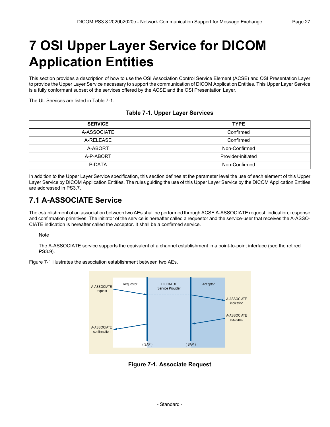# <span id="page-26-0"></span>**7 OSI Upper Layer Service for DICOM Application Entities**

This section provides a description of how to use the OSI Association Control Service Element (ACSE) and OSI Presentation Layer to provide the Upper Layer Service necessary to support the communication of DICOM Application Entities. This Upper Layer Service is a fully conformant subset of the services offered by the ACSE and the OSI Presentation Layer.

<span id="page-26-3"></span>The UL Services are listed in [Table](#page-26-3) 7-1.

#### **Table 7-1. Upper Layer Services**

| <b>SERVICE</b> | <b>TYPE</b>        |  |
|----------------|--------------------|--|
| A-ASSOCIATE    | Confirmed          |  |
| A-RELEASE      | Confirmed          |  |
| A-ABORT        | Non-Confirmed      |  |
| A-P-ABORT      | Provider-initiated |  |
| P-DATA         | Non-Confirmed      |  |

<span id="page-26-1"></span>In addition to the Upper Layer Service specification, this section defines at the parameter level the use of each element of this Upper Layer Service by DICOM Application Entities. The rules guiding the use of this Upper Layer Service by the DICOM Application Entities are addressed in [PS3.7.](part07.pdf#PS3.7)

### **7.1 A-ASSOCIATE Service**

The establishment of an association between two AEs shall be performed through ACSE A-ASSOCIATE request, indication, response and confirmation primitives. The initiator of the service is hereafter called a requestor and the service-user that receives the A-ASSO- CIATE indication is hereafter called the acceptor. It shall be a confirmed service.

#### Note

<span id="page-26-2"></span>The A-ASSOCIATE service supports the equivalent of a channel establishment in a point-to-point interface (see the retired PS3.9).

[Figure](#page-26-2) 7-1 illustrates the association establishment between two AEs.



**Figure 7-1. Associate Request**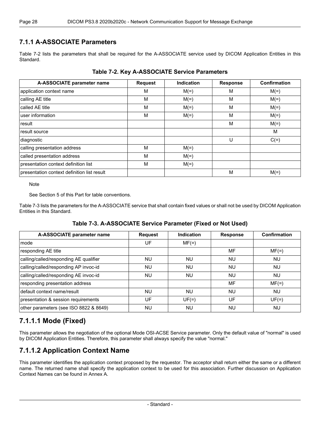#### <span id="page-27-0"></span>**7.1.1 A-ASSOCIATE Parameters**

<span id="page-27-3"></span>[Table](#page-27-3) 7-2 lists the parameters that shall be required for the A-ASSOCIATE service used by DICOM Application Entities in this Standard.

| A-ASSOCIATE parameter name                  | <b>Request</b> | <b>Indication</b> | <b>Response</b> | Confirmation |
|---------------------------------------------|----------------|-------------------|-----------------|--------------|
| application context name                    | M              | $M(=)$            | M               | $M(=)$       |
| calling AE title                            | M              | $M(=)$            | M               | $M(=)$       |
| called AE title                             | M              | $M(=)$            | M               | $M(=)$       |
| user information                            | M              | $M(=)$            | M               | $M(=)$       |
| result                                      |                |                   | M               | $M(=)$       |
| result source                               |                |                   |                 | M            |
| diagnostic                                  |                |                   | U               | $C(=)$       |
| calling presentation address                | M              | $M(=)$            |                 |              |
| called presentation address                 | M              | $M(=)$            |                 |              |
| presentation context definition list        | M              | $M(=)$            |                 |              |
| presentation context definition list result |                |                   | M               | $M(=)$       |

#### **Table 7-2. Key A-ASSOCIATE Service Parameters**

**Note** 

See Section 5 of this Part for table conventions.

<span id="page-27-4"></span>[Table](#page-27-4) 7-3 lists the parameters for the A-ASSOCIATE service that shall contain fixed values or shall not be used by DICOM Application Entities in this Standard.

#### **Table 7-3. A-ASSOCIATE Service Parameter (Fixed or Not Used)**

| A-ASSOCIATE parameter name             | <b>Request</b> | Indication | <b>Response</b> | Confirmation |
|----------------------------------------|----------------|------------|-----------------|--------------|
| mode                                   | UF             | $MF(=)$    |                 |              |
| responding AE title                    |                |            | MF              | $MF(=)$      |
| calling/called/responding AE qualifier | NU             | <b>NU</b>  | NU              | <b>NU</b>    |
| calling/called/responding AP invoc-id  | <b>NU</b>      | <b>NU</b>  | <b>NU</b>       | <b>NU</b>    |
| calling/called/responding AE invoc-id  | NU.            | <b>NU</b>  | <b>NU</b>       | <b>NU</b>    |
| responding presentation address        |                |            | MF              | $MF(=)$      |
| default context name/result            | NU             | <b>NU</b>  | <b>NU</b>       | <b>NU</b>    |
| presentation & session requirements    | UF             | $UF(=)$    | UF              | $UF(=)$      |
| other parameters (see ISO 8822 & 8649) | <b>NU</b>      | <b>NU</b>  | <b>NU</b>       | <b>NU</b>    |

#### <span id="page-27-2"></span><span id="page-27-1"></span>**7.1.1.1 Mode (Fixed)**

This parameter allows the negotiation of the optional Mode OSI-ACSE Service parameter. Only the default value of "normal" is used by DICOM Application Entities. Therefore, this parameter shall always specify the value "normal."

#### **7.1.1.2 Application Context Name**

This parameter identifies the application context proposed by the requestor. The acceptor shall return either the same or a different name. The returned name shall specify the application context to be used for this association. Further discussion on Application Context Names can be found in [Annex](#page-58-0) A.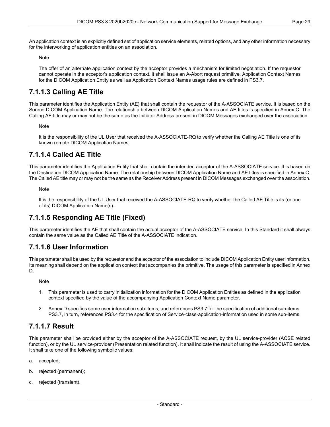An application context is an explicitly defined set of application service elements, related options, and any other information necessary for the interworking of application entities on an association.

**Note** 

The offer of an alternate application context by the acceptor provides a mechanism for limited negotiation. If the requestor cannot operate in the acceptor's application context, it shall issue an A-Abort request primitive. Application Context Names for the DICOM Application Entity as well as Application Context Names usage rules are defined in [PS3.7](part07.pdf#PS3.7).

#### <span id="page-28-0"></span>**7.1.1.3 Calling AE Title**

This parameter identifies the Application Entity (AE) that shall contain the requestor of the A-ASSOCIATE service. It is based on the Source DICOM Application Name. The relationship between DICOM Application Names and AE titles is specified in [Annex](#page-62-0) C. The Calling AE title may or may not be the same as the Initiator Address present in DICOM Messages exchanged over the association.

Note

<span id="page-28-1"></span>It is the responsibility of the UL User that received the A-ASSOCIATE-RQ to verify whether the Calling AE Title is one of its known remote DICOM Application Names.

#### **7.1.1.4 Called AE Title**

This parameter identifies the Application Entity that shall contain the intended acceptor of the A-ASSOCIATE service. It is based on the Destination DICOM Application Name. The relationship between DICOM Application Name and AE titles is specified in [Annex](#page-62-0) C. The Called AE title may or may not be the same as the Receiver Address present in DICOM Messages exchanged over the association.

<span id="page-28-2"></span>**Note** 

It is the responsibility of the UL User that received the A-ASSOCIATE-RQ to verify whether the Called AE Title is its (or one of its) DICOM Application Name(s).

#### <span id="page-28-3"></span>**7.1.1.5 Responding AE Title (Fixed)**

This parameter identifies the AE that shall contain the actual acceptor of the A-ASSOCIATE service. In this Standard it shall always contain the same value as the Called AE Title of the A-ASSOCIATE indication.

#### **7.1.1.6 User Information**

This parameter shall be used by the requestor and the acceptor of the association to include DICOM Application Entity user information. Its meaning shall depend on the application context that accompanies the primitive. The usage of this parameter is specified in [Annex](#page-64-0) [D](#page-64-0).

**Note** 

- <span id="page-28-4"></span>1. This parameter is used to carry initialization information for the DICOM Application Entities as defined in the application context specified by the value of the accompanying Application Context Name parameter.
- 2. [Annex](#page-64-0) D specifies some user information sub-items, and references [PS3.7](part07.pdf#PS3.7) for the specification of additional sub-items. [PS3.7](part07.pdf#PS3.7), in turn, references [PS3.4](part04.pdf#PS3.4) for the specification of Service-class-application-information used in some sub-items.

#### **7.1.1.7 Result**

This parameter shall be provided either by the acceptor of the A-ASSOCIATE request, by the UL service-provider (ACSE related function), or by the UL service-provider (Presentation related function). It shall indicate the result of using the A-ASSOCIATE service. It shall take one of the following symbolic values:

- a. accepted;
- b. rejected (permanent);
- c. rejected (transient).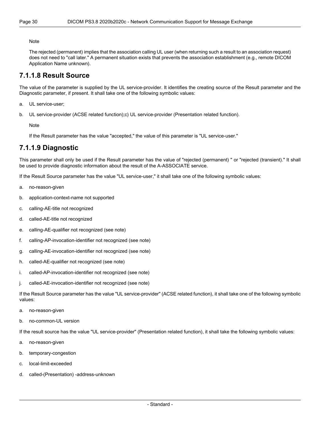The rejected (permanent) implies that the association calling UL user (when returning such a result to an association request) does not need to "call later." A permanent situation exists that prevents the association establishment (e.g., remote DICOM Application Name unknown).

#### <span id="page-29-0"></span>**7.1.1.8 Result Source**

The value of the parameter is supplied by the UL service-provider. It identifies the creating source of the Result parameter and the Diagnostic parameter, if present. It shall take one of the following symbolic values:

- a. UL service-user;
- b. UL service-provider (ACSE related function);c) UL service-provider (Presentation related function).

<span id="page-29-1"></span>Note

If the Result parameter has the value "accepted," the value of this parameter is "UL service-user."

#### **7.1.1.9 Diagnostic**

This parameter shall only be used if the Result parameter has the value of "rejected (permanent) " or "rejected (transient)." It shall be used to provide diagnostic information about the result of the A-ASSOCIATE service.

If the Result Source parameter has the value "UL service-user," it shall take one of the following symbolic values:

- a. no-reason-given
- b. application-context-name not supported
- c. calling-AE-title not recognized
- d. called-AE-title not recognized
- e. calling-AE-qualifier not recognized (see note)
- f. calling-AP-invocation-identifier not recognized (see note)
- g. calling-AE-invocation-identifier not recognized (see note)
- h. called-AE-qualifier not recognized (see note)
- i. called-AP-invocation-identifier not recognized (see note)
- j. called-AE-invocation-identifier not recognized (see note)

If the Result Source parameter has the value "UL service-provider" (ACSE related function), it shall take one of the following symbolic values:

- a. no-reason-given
- b. no-common-UL version

If the result source has the value "UL service-provider" (Presentation related function), it shall take the following symbolic values:

- a. no-reason-given
- b. temporary-congestion
- c. local-limit-exceeded
- d. called-(Presentation) -address-unknown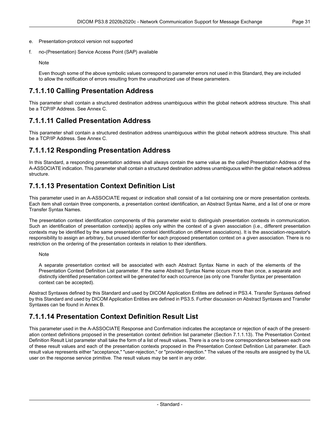- e. Presentation-protocol version not supported
- f. no-(Presentation) Service Access Point (SAP) available

<span id="page-30-0"></span>Even though some of the above symbolic values correspond to parameter errors not used in this Standard, they are included to allow the notification of errors resulting from the unauthorized use of these parameters.

#### **7.1.1.10 Calling Presentation Address**

<span id="page-30-1"></span>This parameter shall contain a structured destination address unambiguous within the global network address structure. This shall be a TCP/IP Address. See [Annex](#page-62-0) C.

#### **7.1.1.11 Called Presentation Address**

<span id="page-30-2"></span>This parameter shall contain a structured destination address unambiguous within the global network address structure. This shall be a TCP/IP Address. See [Annex](#page-62-0) C.

#### **7.1.1.12 Responding Presentation Address**

<span id="page-30-3"></span>In this Standard, a responding presentation address shall always contain the same value as the called Presentation Address of the A-ASSOCIATE indication. This parameter shall contain a structured destination address unambiguous within the global network address structure.

#### **7.1.1.13 Presentation Context Definition List**

This parameter used in an A-ASSOCIATE request or indication shall consist of a list containing one or more presentation contexts. Each item shall contain three components, a presentation context identification, an Abstract Syntax Name, and a list of one or more Transfer Syntax Names.

The presentation context identification components of this parameter exist to distinguish presentation contexts in communication. Such an identification of presentation context(s) applies only within the context of a given association (i.e., different presentation contexts may be identified by the same presentation context identification on different associations). It is the association-requestor's responsibility to assign an arbitrary, but unused identifier for each proposed presentation context on a given association. There is no restriction on the ordering of the presentation contexts in relation to their identifiers.

Note

A separate presentation context will be associated with each Abstract Syntax Name in each of the elements of the Presentation Context Definition List parameter. If the same Abstract Syntax Name occurs more than once, a separate and distinctly identified presentation context will be generated for each occurrence (as only one Transfer Syntax per presentation context can be accepted).

<span id="page-30-4"></span>Abstract Syntaxes defined by this Standard and used by DICOM Application Entites are defined in [PS3.4.](part04.pdf#PS3.4) Transfer Syntaxes defined by this Standard and used by DICOM Application Entities are defined in [PS3.5.](part05.pdf#PS3.5) Further discussion on Abstract Syntaxes and Transfer Syntaxes can be found in [Annex](#page-60-0) B.

#### **7.1.1.14 Presentation Context Definition Result List**

This parameter used in the A-ASSOCIATE Response and Confirmation indicates the acceptance or rejection of each of the present ation context definitions proposed in the presentation context definition list parameter (Section [7.1.1.13](#page-30-3)). The Presentation Context Definition Result List parameter shall take the form of a list of result values. There is a one to one correspondence between each one of these result values and each of the presentation contexts proposed in the Presentation Context Definition List parameter. Each result value represents either "acceptance," "user-rejection," or "provider-rejection." The values of the results are assigned by the UL user on the response service primitive. The result values may be sent in any order.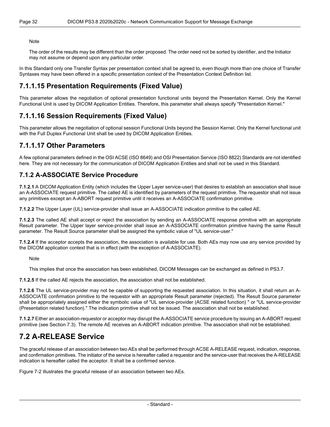The order of the results may be different than the order proposed. The order need not be sorted by identifier, and the Initiator may not assume or depend upon any particular order.

<span id="page-31-0"></span>In this Standard only one Transfer Syntax per presentation context shall be agreed to, even though more than one choice of Transfer Syntaxes may have been offered in a specific presentation context of the Presentation Context Definition list.

#### **7.1.1.15 Presentation Requirements (Fixed Value)**

<span id="page-31-1"></span>This parameter allows the negotiation of optional presentation functional units beyond the Presentation Kernel. Only the Kernel Functional Unit is used by DICOM Application Entities. Therefore, this parameter shall always specify "Presentation Kernel."

#### **7.1.1.16 Session Requirements (Fixed Value)**

<span id="page-31-2"></span>This parameter allows the negotiation of optional session Functional Units beyond the Session Kernel. Only the Kernel functional unit with the Full Duplex Functional Unit shall be used by DICOM Application Entities.

#### **7.1.1.17 Other Parameters**

<span id="page-31-3"></span>A few optional parameters defined in the OSI ACSE (ISO 8649) and OSI Presentation Service (ISO 8822) Standards are not identified here. They are not necessary for the communication of DICOM Application Entities and shall not be used in this Standard.

#### **7.1.2 A-ASSOCIATE Service Procedure**

**7.1.2.1** A DICOM Application Entity (which includes the Upper Layer service-user) that desires to establish an association shall issue an A-ASSOCIATE request primitive. The called AE is identified by parameters of the request primitive. The requestor shall not issue any primitives except an A-ABORT request primitive until it receives an A-ASSOCIATE confirmation primitive.

**7.1.2.2** The Upper Layer (UL) service-provider shall issue an A-ASSOCIATE indication primitive to the called AE.

**7.1.2.3** The called AE shall accept or reject the association by sending an A-ASSOCIATE response primitive with an appropriate Result parameter. The Upper layer service-provider shall issue an A-ASSOCIATE confirmation primitive having the same Result parameter. The Result Source parameter shall be assigned the symbolic value of "UL service-user."

**7.1.2.4** If the acceptor accepts the association, the association is available for use. Both AEs may now use any service provided by the DICOM application context that is in effect (with the exception of A-ASSOCIATE).

Note

This implies that once the association has been established, DICOM Messages can be exchanged as defined in [PS3.7.](part07.pdf#PS3.7)

**7.1.2.5** If the called AE rejects the association, the association shall not be established.

<span id="page-31-4"></span>**7.1.2.6** The UL service-provider may not be capable of supporting the requested association. In this situation, it shall return an A- ASSOCIATE confirmation primitive to the requestor with an appropriate Result parameter (rejected). The Result Source parameter shall be appropriately assigned either the symbolic value of "UL service-provider (ACSE related function) " or "UL service-provider (Presentation related function)." The indication primitive shall not be issued. The association shall not be established.

**7.1.2.7** Either an association-requestor or acceptor may disrupt the A-ASSOCIATE service procedure by issuing an A-ABORT request primitive (see [Section](#page-33-0) 7.3). The remote AE receives an A-ABORT indication primitive. The association shall not be established.

### **7.2 A-RELEASE Service**

The graceful release of an association between two AEs shall be performed through ACSE A-RELEASE request, indication, response, and confirmation primitives. The initiator of the service is hereafter called a requestor and the service-user that receives the A-RELEASE indication is hereafter called the acceptor. It shall be a confirmed service.

[Figure](#page-32-4) 7-2 illustrates the graceful release of an association between two AEs.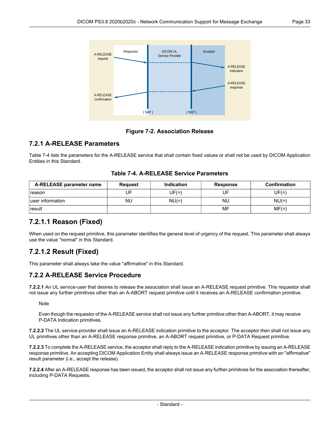<span id="page-32-4"></span>

**Figure 7-2. Association Release**

#### <span id="page-32-0"></span>**7.2.1 A-RELEASE Parameters**

<span id="page-32-5"></span>[Table](#page-32-5) 7-4 lists the parameters for the A-RELEASE service that shall contain fixed values or shall not be used by DICOM Application Entities in this Standard.

<span id="page-32-1"></span>

| A-RELEASE parameter name | <b>Request</b> | <b>Indication</b> | <b>Response</b> | <b>Confirmation</b> |
|--------------------------|----------------|-------------------|-----------------|---------------------|
| reason                   | UF             | $UF(=)$           | JF              | $UF(=)$             |
| luser information        | <b>NU</b>      | $NU(=)$           | <b>NU</b>       | $NU(=)$             |
| result                   |                |                   | MF              | $MF(=)$             |

**Table 7-4. A-RELEASE Service Parameters**

#### <span id="page-32-2"></span>**7.2.1.1 Reason (Fixed)**

When used on the request primitive, this parameter identifies the general level of urgency of the request. This parameter shall always use the value "normal" in this Standard.

### <span id="page-32-3"></span>**7.2.1.2 Result (Fixed)**

This parameter shall always take the value "affirmative" in this Standard.

#### **7.2.2 A-RELEASE Service Procedure**

**7.2.2.1** An UL service-user that desires to release the association shall issue an A-RELEASE request primitive. This requestor shall not issue any further primitives other than an A-ABORT request primitive until it receives an A-RELEASE confirmation primitive.

**Note** 

Even though the requestor of the A-RELEASE service shall not issue any further primitive other than A-ABORT, it may receive P-DATA Indication primitives.

**7.2.2.2** The UL service-provider shall issue an A-RELEASE indication primitive to the acceptor. The acceptor then shall not issue any UL primitives other than an A-RELEASE response primitive, an A-ABORT request primitive, or P-DATA Request primitive.

**7.2.2.3** To complete the A-RELEASE service, the acceptor shall reply to the A-RELEASE indication primitive by issuing an A-RELEASE response primitive. An accepting DICOM Application Entity shall always issue an A-RELEASE response primitive with an "affirmative" result parameter (i.e., accept the release).

**7.2.2.4** After an A-RELEASE response has been issued, the acceptor shall not issue any further primitives for the association thereafter, including P-DATA Requests.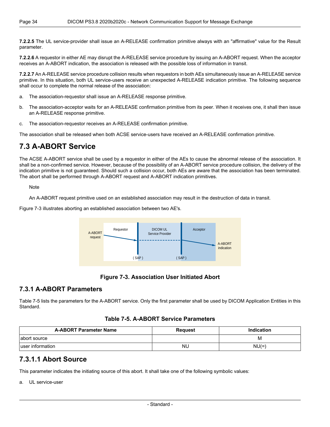**7.2.2.5** The UL service-provider shall issue an A-RELEASE confirmation primitive always with an "affirmative" value for the Result parameter.

**7.2.2.6** A requestor in either AE may disrupt the A-RELEASE service procedure by issuing an A-ABORT request. When the acceptor receives an A-ABORT indication, the association is released with the possible loss of information in transit.

**7.2.2.7** An A-RELEASE service procedure collision results when requestors in both AEs simultaneously issue an A-RELEASE service primitive. In this situation, both UL service-users receive an unexpected A-RELEASE indication primitive. The following sequence shall occur to complete the normal release of the association:

- a. The association-requestor shall issue an A-RELEASE response primitive.
- b. The association-acceptor waits for an A-RELEASE confirmation primitive from its peer. When it receives one, it shall then issue an A-RELEASE response primitive.
- <span id="page-33-0"></span>c. The association-requestor receives an A-RELEASE confirmation primitive.

The association shall be released when both ACSE service-users have received an A-RELEASE confirmation primitive.

#### **7.3 A-ABORT Service**

The ACSE A-ABORT service shall be used by a requestor in either of the AEs to cause the abnormal release of the association. It shall be a non-confirmed service. However, because of the possibility of an A-ABORT service procedure collision, the delivery of the indication primitive is not guaranteed. Should such a collision occur, both AEs are aware that the association has been terminated. The abort shall be performed through A-ABORT request and A-ABORT indication primitives.

**Note** 

<span id="page-33-3"></span>An A-ABORT request primitive used on an established association may result in the destruction of data in transit.

[Figure](#page-33-3) 7-3 illustrates aborting an established association between two AE's.



#### **Figure 7-3. Association User Initiated Abort**

#### <span id="page-33-4"></span><span id="page-33-1"></span>**7.3.1 A-ABORT Parameters**

[Table](#page-33-4) 7-5 lists the parameters for the A-ABORT service. Only the first parameter shall be used by DICOM Application Entities in this Standard.

#### **Table 7-5. A-ABORT Service Parameters**

<span id="page-33-2"></span>

| <b>A-ABORT Parameter Name</b> | <b>Request</b> | <b>Indication</b> |
|-------------------------------|----------------|-------------------|
| abort source                  |                | M                 |
| luser information             | <b>NU</b>      | $NU(=)$           |

#### **7.3.1.1 Abort Source**

This parameter indicates the initiating source of this abort. It shall take one of the following symbolic values:

a. UL service-user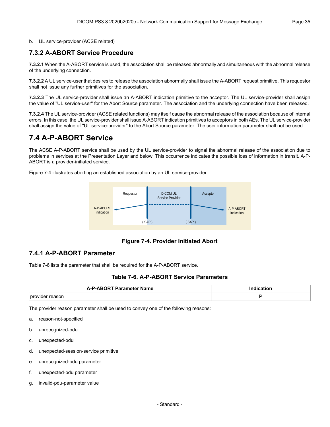#### <span id="page-34-0"></span>b. UL service-provider (ACSE related)

#### **7.3.2 A-ABORT Service Procedure**

**7.3.2.1** When the A-ABORT service is used, the association shall be released abnormally and simultaneous with the abnormal release of the underlying connection.

**7.3.2.2** A UL service-user that desires to release the association abnormally shall issue the A-ABORT request primitive. This requestor shall not issue any further primitives for the association.

**7.3.2.3** The UL service-provider shall issue an A-ABORT indication primitive to the acceptor. The UL service-provider shall assign the value of "UL service-user" for the Abort Source parameter. The association and the underlying connection have been released.

<span id="page-34-1"></span>**7.3.2.4** The UL service-provider (ACSE related functions) may itself cause the abnormal release of the association because of internal errors. In this case, the UL service-provider shall issue A-ABORT indication primitives to acceptors in both AEs. The UL service-provider shall assign the value of "UL service-provider" to the Abort Source parameter. The user information parameter shall not be used.

#### **7.4 A-P-ABORT Service**

The ACSE A-P-ABORT service shall be used by the UL service-provider to signal the abnormal release of the association due to problems in services at the Presentation Layer and below. This occurrence indicates the possible loss of information in transit. A-P- ABORT is a provider-initiated service.

<span id="page-34-3"></span>[Figure](#page-34-3) 7-4 illustrates aborting an established association by an UL service-provider.



**Figure 7-4. Provider Initiated Abort**

#### <span id="page-34-4"></span><span id="page-34-2"></span>**7.4.1 A-P-ABORT Parameter**

[Table](#page-34-4) 7-6 lists the parameter that shall be required for the A-P-ABORT service.

#### **Table 7-6. A-P-ABORT Service Parameters**

| <b>A-P-ARORT Parameter Name</b> | ------ |  |
|---------------------------------|--------|--|
|                                 |        |  |
|                                 |        |  |
| provi<br>asor<br>$  -$          |        |  |

The provider reason parameter shall be used to convey one of the following reasons:

- a. reason-not-specified
- b. unrecognized-pdu
- c. unexpected-pdu
- d. unexpected-session-service primitive
- e. unrecognized-pdu parameter
- f. unexpected-pdu parameter
- g. invalid-pdu-parameter value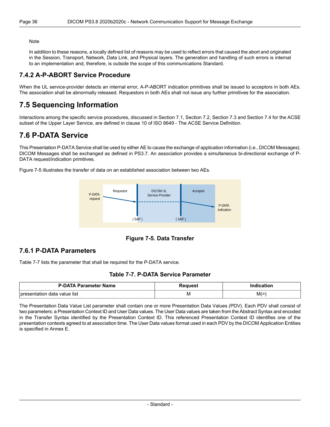In addition to these reasons, a locally defined list of reasons may be used to reflect errors that caused the abort and originated in the Session, Transport, Network, Data Link, and Physical layers. The generation and handling of such errors is internal to an implementation and, therefore, is outside the scope of this communications Standard.

#### <span id="page-35-0"></span>**7.4.2 A-P-ABORT Service Procedure**

<span id="page-35-1"></span>When the UL service-provider detects an internal error, A-P-ABORT indication primitives shall be issued to acceptors in both AEs. The association shall be abnormally released. Requestors in both AEs shall not issue any further primitives for the association.

## **7.5 Sequencing Information**

<span id="page-35-2"></span>Interactions among the specific service procedures, discussed in [Section](#page-26-1) 7.1, [Section](#page-31-4) 7.2, [Section](#page-33-0) 7.3 and [Section](#page-34-1) 7.4 for the ACSE subset of the Upper Layer Service, are defined in clause 10 of ISO 8649 - The ACSE Service Definition.

### **7.6 P-DATA Service**

This Presentation P-DATA Service shall be used by either AE to cause the exchange of application information (i.e., DICOM Messages). DICOM Messages shall be exchanged as defined in [PS3.7.](part07.pdf#PS3.7) An association provides a simultaneous bi-directional exchange of P- DATA request/indication primitives.

<span id="page-35-4"></span>[Figure](#page-35-4) 7-5 illustrates the transfer of data on an established association between two AEs.



**Figure 7-5. Data Transfer**

#### <span id="page-35-5"></span><span id="page-35-3"></span>**7.6.1 P-DATA Parameters**

[Table](#page-35-5) 7-7 lists the parameter that shall be required for the P-DATA service.

#### **Table 7-7. P-DATA Service Parameter**

| <b>P-DATA Parameter Name</b>                 | sanes. |                  |
|----------------------------------------------|--------|------------------|
| value list<br><b>I</b> presentation<br>≞data | ΙM     | $M(=)$<br>$\sim$ |

The Presentation Data Value List parameter shall contain one or more Presentation Data Values (PDV). Each PDV shall consist of two parameters: a Presentation Context ID and User Data values. The User Data values are taken from the Abstract Syntax and encoded in the Transfer Syntax identified by the Presentation Context ID. This referenced Presentation Context ID identifies one of the presentation contexts agreed to at association time. The User Data values format used in each PDV by the DICOM Application Entities is specified in [Annex](#page-66-0) E.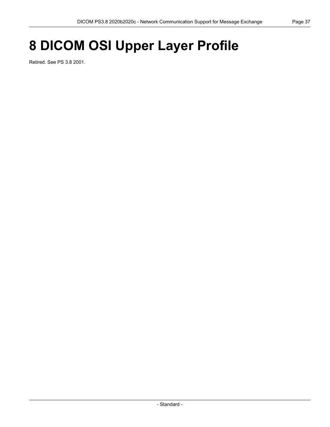# **8 DICOM OSI Upper Layer Profile**

Retired. See PS 3.8 2001.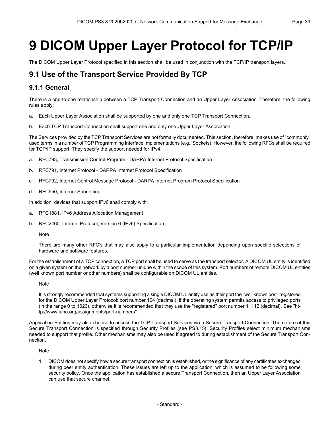# **9 DICOM Upper Layer Protocol for TCP/IP**

The DICOM Upper Layer Protocol specified in this section shall be used in conjunction with the TCP/IP transport layers..

## **9.1 Use of the Transport Service Provided By TCP**

## **9.1.1 General**

There is a one-to-one relationship between a TCP Transport Connection and an Upper Layer Association. Therefore, the following rules apply:

- a. Each Upper Layer Association shall be supported by one and only one TCP Transport Connection.
- b. Each TCP Transport Connection shall support one and only one Upper Layer Association.

The Services provided by the TCP Transport Services are not formally documented. This section, therefore, makes use of "commonly" used terms in a number of TCP Programming Interface Implementations (e.g., Sockets). However, the following RFCs shall be required for TCP/IP support. They specify the support needed for IPv4.

- a. RFC793, Transmission Control Program DARPA Internet Protocol Specification
- b. RFC791, Internet Protocol DARPA Internet Protocol Specification
- c. RFC792, Internet Control Message Protocol DARPA Internet Program Protocol Specification
- d. RFC950, Internet Subnetting

In addition, devices that support IPv6 shall comply with:

- a. RFC1881, IPv6 Address Allocation Management
- b. RFC2460, Internet Protocol, Version 6 (IPv6) Specification

#### Note

There are many other RFC's that may also apply to a particular implementation depending upon specific selections of hardware and software features.

For the establishment of a TCP connection, a TCP port shall be used to serve as the transport selector. A DICOM UL entity is identified on a given system on the network by a port number unique within the scope of this system. Port numbers of remote DICOM UL entities (well known port number or other numbers) shall be configurable on DICOM UL entities.

#### **Note**

It is strongly recommended that systems supporting a single DICOM UL entity use as their port the "well known port" registered for the DICOM Upper Layer Protocol: port number 104 (decimal), if the operating system permits access to privileged ports (in the range 0 to 1023), otherwise it is recommended that they use the "registered" port number 11112 (decimal). See "ht tp://www.iana.org/assignments/port-numbers".

Application Entities may also choose to access the TCP Transport Services via a Secure Transport Connection. The nature of this Secure Transport Connection is specified through Security Profiles (see [PS3.15](part15.pdf#PS3.15)). Security Profiles select minimum mechanisms needed to support that profile. Other mechanisms may also be used if agreed to during establishment of the Secure Transport Con nection.

#### Note

1. DICOM does not specify how a secure transport connection is established, or the significance of any certificates exchanged during peer entity authentication. These issues are left up to the application, which is assumed to be following some security policy. Once the application has established a secure Transport Connection, then an Upper Layer Association can use that secure channel.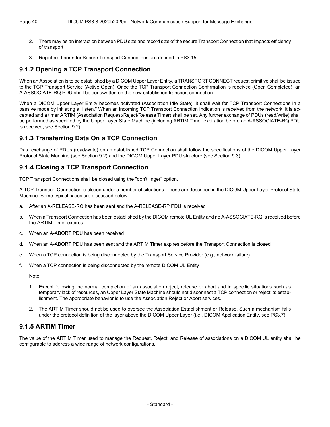- 2. There may be an interaction between PDU size and record size of the secure Transport Connection that impacts efficiency of transport.
- 3. Registered ports for Secure Transport Connections are defined in [PS3.15](part15.pdf#PS3.15).

## **9.1.2 Opening a TCP Transport Connection**

When an Association is to be established by a DICOM Upper Layer Entity, a TRANSPORT CONNECT request primitive shall be issued to the TCP Transport Service (Active Open). Once the TCP Transport Connection Confirmation is received (Open Completed), an A-ASSOCIATE-RQ PDU shall be sent/written on the now established transport connection.

When a DICOM Upper Layer Entity becomes activated (Association Idle State), it shall wait for TCP Transport Connections in a passive mode by initiating a "listen." When an incoming TCP Transport Connection Indication is received from the network, it is ac cepted and a timer ARTIM (Association Request/Reject/Release Timer) shall be set. Any further exchange of PDUs (read/write) shall be performed as specified by the Upper Layer State Machine (including ARTIM Timer expiration before an A-ASSOCIATE-RQ PDU is received, see [Section](#page-40-0) 9.2).

## **9.1.3 Transferring Data On a TCP Connection**

Data exchange of PDUs (read/write) on an established TCP Connection shall follow the specifications of the DICOM Upper Layer Protocol State Machine (see [Section](#page-40-0) 9.2) and the DICOM Upper Layer PDU structure (see [Section](#page-44-0) 9.3).

## **9.1.4 Closing a TCP Transport Connection**

TCP Transport Connections shall be closed using the "don't linger" option.

A TCP Transport Connection is closed under a number of situations. These are described in the DICOM Upper Layer Protocol State Machine. Some typical cases are discussed below:

- a. After an A-RELEASE-RQ has been sent and the A-RELEASE-RP PDU is received
- b. When a Transport Connection has been established by the DICOM remote UL Entity and no A-ASSOCIATE-RQ is received before the ARTIM Timer expires
- c. When an A-ABORT PDU has been received
- d. When an A-ABORT PDU has been sent and the ARTIM Timer expires before the Transport Connection is closed
- e. When a TCP connection is being disconnected by the Transport Service Provider (e.g., network failure)
- f. When a TCP connection is being disconnected by the remote DICOM UL Entity

**Note** 

- 1. Except following the normal completion of an association reject, release or abort and in specific situations such as temporary lack of resources, an Upper Layer State Machine should not disconnect a TCP connection or reject its estab lishment. The appropriate behavior is to use the Association Reject or Abort services.
- 2. The ARTIM Timer should not be used to oversee the Association Establishment or Release. Such a mechanism falls under the protocol definition of the layer above the DICOM Upper Layer (i.e., DICOM Application Entity, see [PS3.7\)](part07.pdf#PS3.7).

## **9.1.5 ARTIM Timer**

The value of the ARTIM Timer used to manage the Request, Reject, and Release of associations on a DICOM UL entity shall be configurable to address a wide range of network configurations.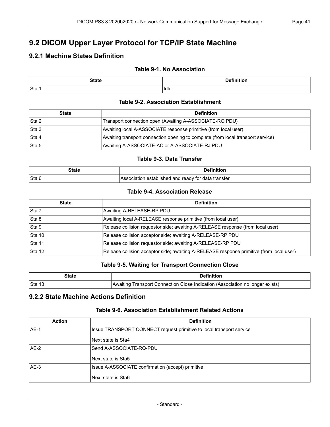# <span id="page-40-0"></span>**9.2 DICOM Upper Layer Protocol for TCP/IP State Machine**

## **9.2.1 Machine States Definition**

## **Table 9-1. No Association**

| <b>State</b> | .<br>--- |
|--------------|----------|
| Sta          | Idle     |

### **Table 9-2. Association Establishment**

| <b>State</b> | <b>Definition</b>                                                                |  |  |  |  |  |  |
|--------------|----------------------------------------------------------------------------------|--|--|--|--|--|--|
| Sta 2        | Transport connection open (Awaiting A-ASSOCIATE-RQ PDU)                          |  |  |  |  |  |  |
| Sta 3        | Awaiting local A-ASSOCIATE response primitive (from local user)                  |  |  |  |  |  |  |
| Sta 4        | Awaiting transport connection opening to complete (from local transport service) |  |  |  |  |  |  |
| Sta 5        | Awaiting A-ASSOCIATE-AC or A-ASSOCIATE-RJ PDU                                    |  |  |  |  |  |  |

### **Table 9-3. Data Transfer**

| State  | <b>Definition</b>                                   |
|--------|-----------------------------------------------------|
| ∣Sta 6 | Association established and ready for data transfer |

#### **Table 9-4. Association Release**

| <b>State</b> | <b>Definition</b>                                                                        |
|--------------|------------------------------------------------------------------------------------------|
| Sta 7        | Awaiting A-RELEASE-RP PDU                                                                |
| Sta 8        | Awaiting local A-RELEASE response primitive (from local user)                            |
| Sta 9        | Release collision requestor side; awaiting A-RELEASE response (from local user)          |
| Sta 10       | Release collision acceptor side; awaiting A-RELEASE-RP PDU                               |
| Sta 11       | Release collision requestor side; awaiting A-RELEASE-RP PDU                              |
| Sta 12       | Release collision acceptor side; awaiting A-RELEASE response primitive (from local user) |

### **Table 9-5. Waiting for Transport Connection Close**

| State   | <b>Definition</b>                                                             |  |  |  |  |  |  |
|---------|-------------------------------------------------------------------------------|--|--|--|--|--|--|
| ∣Sta 13 | Awaiting Transport Connection Close Indication (Association no longer exists) |  |  |  |  |  |  |

## **9.2.2 State Machine Actions Definition**

### **Table 9-6. Association Establishment Related Actions**

| <b>Action</b> | <b>Definition</b>                                                    |  |  |  |  |  |
|---------------|----------------------------------------------------------------------|--|--|--|--|--|
| AE-1          | Issue TRANSPORT CONNECT request primitive to local transport service |  |  |  |  |  |
|               | Next state is Sta4                                                   |  |  |  |  |  |
| AE-2          | Send A-ASSOCIATE-RQ-PDU                                              |  |  |  |  |  |
|               | Next state is Sta5                                                   |  |  |  |  |  |
| IAE-3         | Issue A-ASSOCIATE confirmation (accept) primitive                    |  |  |  |  |  |
|               | Next state is Sta6                                                   |  |  |  |  |  |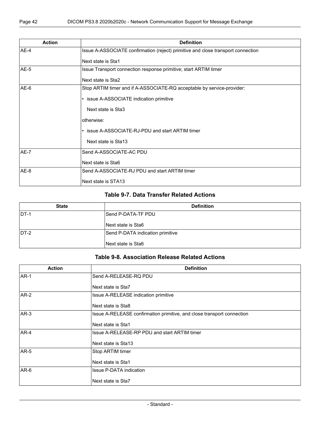| <b>Action</b> | <b>Definition</b>                                                                |
|---------------|----------------------------------------------------------------------------------|
| $AE-4$        | Issue A-ASSOCIATE confirmation (reject) primitive and close transport connection |
|               | Next state is Sta1                                                               |
| AE-5          | Issue Transport connection response primitive; start ARTIM timer                 |
|               | Next state is Sta2                                                               |
| $AE-6$        | Stop ARTIM timer and if A-ASSOCIATE-RQ acceptable by service-provider:           |
|               | • issue A-ASSOCIATE indication primitive                                         |
|               | Next state is Sta3                                                               |
|               | otherwise:                                                                       |
|               | • issue A-ASSOCIATE-RJ-PDU and start ARTIM timer                                 |
|               | Next state is Sta13                                                              |
| AE-7          | Send A-ASSOCIATE-AC PDU                                                          |
|               | Next state is Sta6                                                               |
| AE-8          | Send A-ASSOCIATE-RJ PDU and start ARTIM timer                                    |
|               | Next state is STA13                                                              |

## **Table 9-7. Data Transfer Related Actions**

| <b>State</b> | <b>Definition</b>                |
|--------------|----------------------------------|
| DT-1         | Send P-DATA-TF PDU               |
|              | Next state is Sta6               |
| $DT-2$       | Send P-DATA indication primitive |
|              | Next state is Sta6               |

### **Table 9-8. Association Release Related Actions**

| <b>Action</b> | <b>Definition</b>                                                      |  |  |  |  |  |  |  |
|---------------|------------------------------------------------------------------------|--|--|--|--|--|--|--|
| <b>AR-1</b>   | Send A-RELEASE-RQ PDU                                                  |  |  |  |  |  |  |  |
|               | Next state is Sta7                                                     |  |  |  |  |  |  |  |
| $AR-2$        | Issue A-RELEASE indication primitive                                   |  |  |  |  |  |  |  |
|               | Next state is Sta8                                                     |  |  |  |  |  |  |  |
| AR-3          | Issue A-RELEASE confirmation primitive, and close transport connection |  |  |  |  |  |  |  |
|               | Next state is Sta1                                                     |  |  |  |  |  |  |  |
| AR-4          | Issue A-RELEASE-RP PDU and start ARTIM timer                           |  |  |  |  |  |  |  |
|               | Next state is Sta13                                                    |  |  |  |  |  |  |  |
| <b>AR-5</b>   | Stop ARTIM timer                                                       |  |  |  |  |  |  |  |
|               | Next state is Sta1                                                     |  |  |  |  |  |  |  |
| $AR-6$        | <b>Issue P-DATA indication</b>                                         |  |  |  |  |  |  |  |
|               | Next state is Sta7                                                     |  |  |  |  |  |  |  |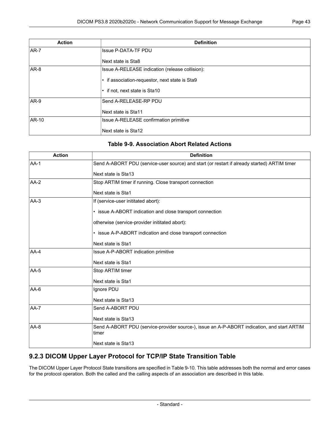| <b>Action</b> | <b>Definition</b>                               |  |  |  |  |  |
|---------------|-------------------------------------------------|--|--|--|--|--|
| $AR-7$        | <b>Issue P-DATA-TF PDU</b>                      |  |  |  |  |  |
|               | Next state is Sta8                              |  |  |  |  |  |
| $AR-8$        | Issue A-RELEASE indication (release collision): |  |  |  |  |  |
|               | • if association-requestor, next state is Sta9  |  |  |  |  |  |
|               | • if not, next state is Sta10                   |  |  |  |  |  |
| $AR-9$        | Send A-RELEASE-RP PDU                           |  |  |  |  |  |
|               | Next state is Sta11                             |  |  |  |  |  |
| <b>AR-10</b>  | Issue A-RELEASE confirmation primitive          |  |  |  |  |  |
|               | Next state is Sta12                             |  |  |  |  |  |

### **Table 9-9. Association Abort Related Actions**

| <b>Action</b> | <b>Definition</b>                                                                                    |  |  |  |  |  |  |  |  |
|---------------|------------------------------------------------------------------------------------------------------|--|--|--|--|--|--|--|--|
| $AA-1$        | Send A-ABORT PDU (service-user source) and start (or restart if already started) ARTIM timer         |  |  |  |  |  |  |  |  |
|               | Next state is Sta13                                                                                  |  |  |  |  |  |  |  |  |
| $AA-2$        | Stop ARTIM timer if running. Close transport connection                                              |  |  |  |  |  |  |  |  |
|               | Next state is Sta1                                                                                   |  |  |  |  |  |  |  |  |
| $AA-3$        | If (service-user inititated abort):                                                                  |  |  |  |  |  |  |  |  |
|               | • issue A-ABORT indication and close transport connection                                            |  |  |  |  |  |  |  |  |
|               | otherwise (service-provider inititated abort):                                                       |  |  |  |  |  |  |  |  |
|               | • issue A-P-ABORT indication and close transport connection                                          |  |  |  |  |  |  |  |  |
|               | Next state is Sta1                                                                                   |  |  |  |  |  |  |  |  |
| $AA-4$        | Issue A-P-ABORT indication primitive                                                                 |  |  |  |  |  |  |  |  |
|               | Next state is Sta1                                                                                   |  |  |  |  |  |  |  |  |
| $AA-5$        | Stop ARTIM timer                                                                                     |  |  |  |  |  |  |  |  |
|               | Next state is Sta1                                                                                   |  |  |  |  |  |  |  |  |
| AA-6          | Ignore PDU                                                                                           |  |  |  |  |  |  |  |  |
|               | Next state is Sta13                                                                                  |  |  |  |  |  |  |  |  |
| $AA-7$        | Send A-ABORT PDU                                                                                     |  |  |  |  |  |  |  |  |
|               | Next state is Sta13                                                                                  |  |  |  |  |  |  |  |  |
| $AA-8$        | Send A-ABORT PDU (service-provider source-), issue an A-P-ABORT indication, and start ARTIM<br>timer |  |  |  |  |  |  |  |  |
|               | Next state is Sta13                                                                                  |  |  |  |  |  |  |  |  |

## **9.2.3 DICOM Upper Layer Protocol for TCP/IP State Transition Table**

The DICOM Upper Layer Protocol State transitions are specified in [Table](#page-43-0) 9-10. This table addresses both the normal and error cases for the protocol operation. Both the called and the calling aspects of an association are described in this table.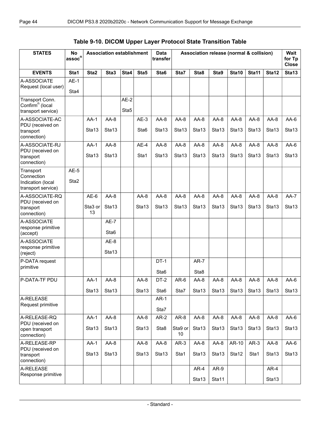## **Table 9-10. DICOM Upper Layer Protocol State Transition Table**

<span id="page-43-0"></span>

| <b>STATES</b>                                                        | No<br>$\mathsf{assoc}^{\mathsf{n}}$ | <b>Association establishment</b> |                             |                |                             | Data<br>transfer            | Association release (normal & collision) |                             |                             |                             |                             | Wait<br>for Tp<br><b>Close</b> |                 |
|----------------------------------------------------------------------|-------------------------------------|----------------------------------|-----------------------------|----------------|-----------------------------|-----------------------------|------------------------------------------|-----------------------------|-----------------------------|-----------------------------|-----------------------------|--------------------------------|-----------------|
| <b>EVENTS</b>                                                        | Sta1                                | Sta2                             | Sta3                        | Sta4           | Sta5                        | Sta6                        | Sta7                                     | Sta8                        | Sta9                        | Sta10                       | Sta11                       | Sta12                          | Sta13           |
| A-ASSOCIATE<br>Request (local user)                                  | $AE-1$<br>Sta4                      |                                  |                             |                |                             |                             |                                          |                             |                             |                             |                             |                                |                 |
| Transport Conn.<br>Confirm <sup>n</sup> (local<br>transport service) |                                     |                                  |                             | $AE-2$<br>Sta5 |                             |                             |                                          |                             |                             |                             |                             |                                |                 |
| A-ASSOCIATE-AC<br>PDU (received on<br>transport<br>connection)       |                                     | $AA-1$<br>Sta <sub>13</sub>      | $AA-8$<br>Sta <sub>13</sub> |                | $AE-3$<br>Sta <sub>6</sub>  | $AA-8$<br>Sta <sub>13</sub> | $AA-8$<br>Sta <sub>13</sub>              | $AA-8$<br>Sta <sub>13</sub> | $AA-8$<br>Sta <sub>13</sub> | $AA-8$<br>Sta <sub>13</sub> | $AA-8$<br>Sta <sub>13</sub> | $AA-8$<br>Sta <sub>13</sub>    | AA-6<br>Sta13   |
| A-ASSOCIATE-RJ<br>PDU (received on<br>transport<br>connection)       |                                     | $AA-1$<br>Sta13                  | $AA-8$<br>Sta13             |                | $AE-4$<br>Sta1              | $AA-8$<br>Sta <sub>13</sub> | $AA-8$<br>Sta13                          | $AA-8$<br>Sta13             | AA-8<br>Sta13               | $AA-8$<br>Sta13             | $AA-8$<br>Sta13             | AA-8<br>Sta13                  | AA-6<br>Sta13   |
| Transport<br>Connection<br>Indication (local<br>transport service)   | $AE-5$<br>Sta <sub>2</sub>          |                                  |                             |                |                             |                             |                                          |                             |                             |                             |                             |                                |                 |
| A-ASSOCIATE-RQ<br>PDU (received on<br>transport<br>connection)       |                                     | $AE-6$<br>Sta3 or<br>13          | $AA-8$<br>Sta <sub>13</sub> |                | $AA-8$<br>Sta <sub>13</sub> | $AA-8$<br>Sta <sub>13</sub> | $AA-8$<br>Sta13                          | $AA-8$<br>Sta <sub>13</sub> | $AA-8$<br>Sta <sub>13</sub> | $AA-8$<br>Sta <sub>13</sub> | $AA-8$<br>Sta <sub>13</sub> | $AA-8$<br>Sta <sub>13</sub>    | $AA-7$<br>Sta13 |
| A-ASSOCIATE<br>response primitive<br>(accept)                        |                                     |                                  | $AE-7$<br>Sta <sub>6</sub>  |                |                             |                             |                                          |                             |                             |                             |                             |                                |                 |
| A-ASSOCIATE<br>response primitive<br>(reject)                        |                                     |                                  | $AE-8$<br>Sta13             |                |                             |                             |                                          |                             |                             |                             |                             |                                |                 |
| P-DATA request<br>primitive                                          |                                     |                                  |                             |                |                             | $DT-1$<br>Sta <sub>6</sub>  |                                          | $AR-7$<br>Sta8              |                             |                             |                             |                                |                 |
| P-DATA-TF PDU                                                        |                                     | $AA-1$<br>Sta13                  | $AA-8$<br>Sta13             |                | $AA-8$<br>Sta13             | DT-2<br>Sta6                | $AR-6$<br>Sta7                           | $AA-8$<br>Sta13             | $AA-8$<br>Sta13 $ $         | $AA-8$<br>Sta13             | $AA-8$<br>Sta13             | $AA-8$<br>Sta13                | AA-6<br>Sta13   |
| A-RELEASE<br>Request primitive                                       |                                     |                                  |                             |                |                             | $AR-1$<br>Sta7              |                                          |                             |                             |                             |                             |                                |                 |
| A-RELEASE-RQ<br>PDU (received on<br>open transport<br>connection)    |                                     | $AA-1$<br>Sta13                  | $AA-8$<br>Sta13             |                | AA-8<br>Sta13               | $AR-2$<br>Sta8              | AR-8<br>Sta9 or<br>10                    | AA-8<br>Sta13               | AA-8<br>Sta13               | AA-8<br>Sta13               | $AA-8$<br>Sta13             | AA-8<br>Sta13                  | AA-6<br>Sta13   |
| A-RELEASE-RP<br>PDU (received on<br>transport<br>connection)         |                                     | $AA-1$<br>Sta13                  | $AA-8$<br>Sta13             |                | $AA-8$<br>Sta13             | AA-8<br>Sta13               | $AR-3$<br>Sta1                           | AA-8<br>Sta13               | AA-8<br>Sta13               | AR-10<br>Sta12              | $AR-3$<br>Sta1              | AA-8<br>Sta13                  | AA-6<br>Sta13   |
| A-RELEASE<br>Response primitive                                      |                                     |                                  |                             |                |                             |                             |                                          | $AR-4$<br>Sta13             | AR-9<br>Sta11               |                             |                             | $AR-4$<br>Sta13                |                 |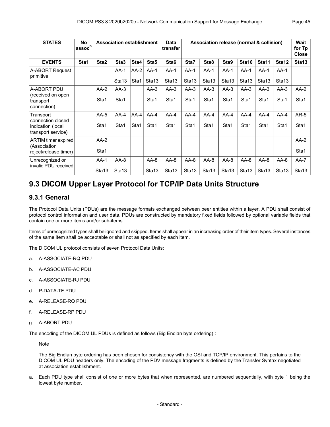| <b>STATES</b>                                                | No<br>$^{\shortmid}$ assoc $^{\mathsf{n}}$ : |                   | <b>Association establishment</b> |        |                   | Data<br>transfer  |                   | Association release (normal & collision) |                   |                   |                   |                   | <b>Wait</b><br>for Tp<br><b>Close</b> |
|--------------------------------------------------------------|----------------------------------------------|-------------------|----------------------------------|--------|-------------------|-------------------|-------------------|------------------------------------------|-------------------|-------------------|-------------------|-------------------|---------------------------------------|
| <b>EVENTS</b>                                                | Sta1                                         | Sta <sub>2</sub>  | Sta <sub>3</sub>                 | Sta4   | Sta5              | Sta <sub>6</sub>  | Sta7              | Sta8                                     | Sta9              | Sta10             | Sta11             | Sta12             | Sta <sub>13</sub>                     |
| A-ABORT Request<br>primitive                                 |                                              |                   | $AA-1$                           | $AA-2$ | $AA-1$            | $AA-1$            | $AA-1$            | $AA-1$                                   | $AA-1$            | $AA-1$            | $AA-1$            | $AA-1$            |                                       |
|                                                              |                                              |                   | Sta <sub>13</sub>                | Sta1   | Sta <sub>13</sub> | Sta <sub>13</sub> | Sta <sub>13</sub> | Sta <sub>13</sub>                        | Sta <sub>13</sub> | Sta <sub>13</sub> | Sta <sub>13</sub> | Sta <sub>13</sub> |                                       |
| A-ABORT PDU<br>(received on open<br>transport<br>connection) |                                              | $AA-2$            | $AA-3$                           |        | $AA-3$            | $AA-3$            | $AA-3$            | $AA-3$                                   | $AA-3$            | $AA-3$            | $AA-3$            | $AA-3$            | $AA-2$                                |
|                                                              |                                              | Sta1              | Sta1                             |        | Sta1              | Sta1              | Sta1              | Sta1                                     | Sta1              | Sta1              | Sta1              | Sta1              | Sta1                                  |
| Transport<br>connection closed                               |                                              | $AA-5$            | $AA-4$                           | $AA-4$ | $AA-4$            | $AA-4$            | $AA-4$            | $AA-4$                                   | $AA-4$            | $AA-4$            | $AA-4$            | $AA-4$            | $AR-5$                                |
| indication (local<br>transport service)                      |                                              | Sta1              | Sta1                             | Sta1   | Sta1              | Sta1              | Sta1              | Sta1                                     | Sta1              | Sta1              | Sta1              | Sta1              | Sta1                                  |
| ARTIM timer expired<br>(Association                          |                                              | $AA-2$            |                                  |        |                   |                   |                   |                                          |                   |                   |                   |                   | $AA-2$                                |
| reject/release timer)                                        |                                              | Sta1              |                                  |        |                   |                   |                   |                                          |                   |                   |                   |                   | Sta1                                  |
| Unrecognized or<br>invalid PDU received                      |                                              | $AA-1$            | $AA-8$                           |        | $AA-8$            | $AA-8$            | $AA-8$            | $AA-8$                                   | $AA-8$            | $AA-8$            | $AA-8$            | $AA-8$            | $AA-7$                                |
|                                                              |                                              | Sta <sub>13</sub> | Sta13                            |        | Sta <sub>13</sub> | Sta13             | Sta13             | Sta13                                    | Sta13             | Sta13             | Sta13             | Sta13             | Sta <sub>13</sub>                     |

## <span id="page-44-0"></span>**9.3 DICOM Upper Layer Protocol for TCP/IP Data Units Structure**

## **9.3.1 General**

The Protocol Data Units (PDUs) are the message formats exchanged between peer entities within a layer. A PDU shall consist of protocol control information and user data. PDUs are constructed by mandatory fixed fields followed by optional variable fields that contain one or more items and/or sub-items.

Items of unrecognized types shall be ignored and skipped. Items shall appear in an increasing order of their item types. Several instances of the same item shall be acceptable or shall not as specified by each item.

The DICOM UL protocol consists of seven Protocol Data Units:

- a. A-ASSOCIATE-RQ PDU
- b. A-ASSOCIATE-AC PDU
- c. A-ASSOCIATE-RJ PDU
- d. P-DATA-TF PDU
- e. A-RELEASE-RQ PDU
- f. A-RELEASE-RP PDU
- g. A-ABORT PDU

The encoding of the DICOM UL PDUs is defined as follows (Big Endian byte ordering) :

Note

The Big Endian byte ordering has been chosen for consistency with the OSI and TCP/IP environment. This pertains to the DICOM UL PDU headers only. The encoding of the PDV message fragments is defined by the Transfer Syntax negotiated at association establishment.

a. Each PDU type shall consist of one or more bytes that when represented, are numbered sequentially, with byte 1 being the lowest byte number.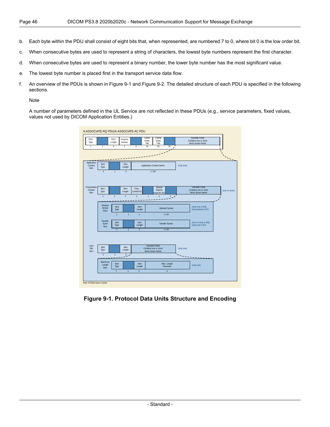- b. Each byte within the PDU shall consist of eight bits that, when represented, are numbered 7 to 0, where bit 0 is the low order bit.
- c. When consecutive bytes are used to represent a string of characters, the lowest byte numbers represent the first character.
- d. When consecutive bytes are used to represent a binary number, the lower byte number has the most significant value.
- e. The lowest byte number is placed first in the transport service data flow.
- f. An overview of the PDUs is shown in [Figure](#page-45-0) 9-1 and [Figure](#page-46-0) 9-2. The detailed structure of each PDU is specified in the following sections.

#### Note

<span id="page-45-0"></span>A number of parameters defined in the UL Service are not reflected in these PDUs (e.g., service parameters, fixed values, values not used by DICOM Application Entities.)

| PDU<br>Type<br>$\overline{1}$   | $\overline{1}$                 | PDU<br>Length<br>$\overline{4}$ | Protocol<br>Version<br>$\overline{2}$ | $\overline{2}$                        | Called<br>Calling<br>Entity<br>Entity<br>Title<br>Title<br>16<br>16   | 32                               |            | (Variable Field)<br>Contains one or more<br>Items shown below |               |
|---------------------------------|--------------------------------|---------------------------------|---------------------------------------|---------------------------------------|-----------------------------------------------------------------------|----------------------------------|------------|---------------------------------------------------------------|---------------|
|                                 |                                |                                 |                                       |                                       |                                                                       |                                  |            |                                                               | $\ddot{z}$    |
| Application<br>Context<br>Item  | Item<br>Type<br>$\overline{1}$ | $\overline{1}$                  | Item<br>Length<br>$\overline{2}$      |                                       | Application Context Name<br>$= 64$                                    |                                  | (only one) |                                                               |               |
| Presentation<br>Context<br>Item | Item<br>Type<br>$\overline{1}$ | $\overline{1}$                  | Item<br>Length<br>$\overline{2}$      | Pres.<br>Context ID<br>$\overline{1}$ | Result/<br>Reason<br>used for AC)<br>$\overline{1}$<br>$\overline{1}$ | $\mathbf{1}$                     |            | (Variable Field)<br>Contains one or more<br>Items shown below | (one or more) |
|                                 | Abstract<br>Syntax<br>litem    | Item<br>Type<br>$\overline{1}$  | $\overline{1}$                        | Item<br>Length<br>$\overline{2}$      |                                                                       | <b>Abstract Syntax</b><br>$= 64$ |            | (only one in RQ)<br>(not present in AC)                       |               |
|                                 | Transfer<br>Syntx<br>Item      | Item<br>Type<br>$\overline{1}$  | $\overline{1}$                        | Item<br>Length<br>$\overline{2}$      |                                                                       | <b>Transfer Syntax</b><br>$= 64$ |            | (one or more in RQ)<br>(only one in AC)                       |               |
| User                            |                                |                                 |                                       |                                       | (Variable Field)                                                      |                                  |            |                                                               |               |
| Info<br>Item                    | Item<br>Type<br>$\overline{1}$ | $\overline{1}$                  | Item<br>Length<br>$\overline{2}$      |                                       | Contains one or more<br>Items shown below                             |                                  | (only one) |                                                               |               |
|                                 | Maximum<br>Length<br>Item      | Item<br>Type                    |                                       | Item<br>Length                        |                                                                       | Max. Length<br>Received          |            | (only one)                                                    |               |
|                                 |                                | $\overline{1}$                  | $\overline{1}$                        | $\overline{2}$                        |                                                                       | $\overline{4}$                   |            |                                                               |               |

**Figure 9-1. Protocol Data Units Structure and Encoding**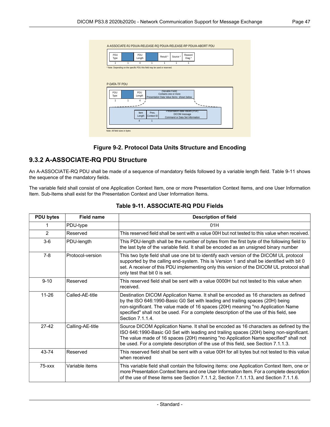<span id="page-46-0"></span>

| PDU<br>Type   |   | PDU<br>Length |                     | Result*                                  | Source *                                  | Reason/<br>Diag *                               |  |  |
|---------------|---|---------------|---------------------|------------------------------------------|-------------------------------------------|-------------------------------------------------|--|--|
|               | 1 | 4             | 1                   | 1                                        | 1                                         | 1                                               |  |  |
| P-DATA-TF PDU |   |               |                     |                                          |                                           |                                                 |  |  |
|               |   |               |                     |                                          |                                           |                                                 |  |  |
| PDU<br>Type   |   | PDU<br>Length |                     | (Variable Field)<br>Contains one or more | Presentation Data Value Items shown below |                                                 |  |  |
|               |   | 4             |                     |                                          |                                           |                                                 |  |  |
|               |   |               |                     |                                          |                                           |                                                 |  |  |
|               |   | Item          | Pres.<br>Context ID |                                          |                                           | Presentation-data-Values (PDV)<br>DICOM message |  |  |

#### **Figure 9-2. Protocol Data Units Structure and Encoding**

### **9.3.2 A-ASSOCIATE-RQ PDU Structure**

An A-ASSOCIATE-RQ PDU shall be made of a sequence of mandatory fields followed by a variable length field. [Table](#page-46-1) 9-11 shows the sequence of the mandatory fields.

<span id="page-46-1"></span>The variable field shall consist of one Application Context Item, one or more Presentation Context Items, and one User Information Item. Sub-Items shall exist for the Presentation Context and User Information Items.

| <b>PDU bytes</b> | <b>Field name</b> | <b>Description of field</b>                                                                                                                                                                                                                                                                                                                                           |
|------------------|-------------------|-----------------------------------------------------------------------------------------------------------------------------------------------------------------------------------------------------------------------------------------------------------------------------------------------------------------------------------------------------------------------|
|                  | PDU-type          | 01H                                                                                                                                                                                                                                                                                                                                                                   |
| $\overline{2}$   | Reserved          | This reserved field shall be sent with a value 00H but not tested to this value when received.                                                                                                                                                                                                                                                                        |
| $3-6$            | PDU-length        | This PDU-length shall be the number of bytes from the first byte of the following field to<br>the last byte of the variable field. It shall be encoded as an unsigned binary number                                                                                                                                                                                   |
| $7-8$            | Protocol-version  | This two byte field shall use one bit to identify each version of the DICOM UL protocol<br>supported by the calling end-system. This is Version 1 and shall be identified with bit 0<br>set. A receiver of this PDU implementing only this version of the DICOM UL protocol shall<br>only test that bit 0 is set.                                                     |
| $9 - 10$         | Reserved          | This reserved field shall be sent with a value 0000H but not tested to this value when<br>received.                                                                                                                                                                                                                                                                   |
| $11 - 26$        | Called-AE-title   | Destination DICOM Application Name. It shall be encoded as 16 characters as defined<br>by the ISO 646:1990-Basic G0 Set with leading and trailing spaces (20H) being<br>non-significant. The value made of 16 spaces (20H) meaning "no Application Name<br>specified" shall not be used. For a complete description of the use of this field, see<br>Section 7.1.1.4. |
| $27-42$          | Calling-AE-title  | Source DICOM Application Name. It shall be encoded as 16 characters as defined by the<br>ISO 646:1990-Basic G0 Set with leading and trailing spaces (20H) being non-significant.<br>The value made of 16 spaces (20H) meaning "no Application Name specified" shall not<br>be used. For a complete description of the use of this field, see Section 7.1.1.3.         |
| 43-74            | Reserved          | This reserved field shall be sent with a value 00H for all bytes but not tested to this value<br>when received                                                                                                                                                                                                                                                        |
| $75  xxx$        | Variable items    | This variable field shall contain the following items: one Application Context Item, one or<br>more Presentation Context Items and one User Information Item. For a complete description<br>of the use of these items see Section 7.1.1.2, Section 7.1.1.13, and Section 7.1.1.6.                                                                                     |

#### **Table 9-11. ASSOCIATE-RQ PDU Fields**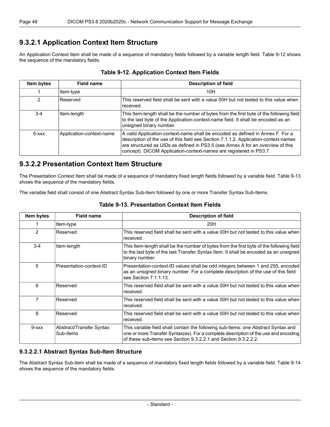## **9.3.2.1 Application Context Item Structure**

<span id="page-47-0"></span>An Application Context Item shall be made of a sequence of mandatory fields followed by a variable length field. [Table](#page-47-0) 9-12 shows the sequence of the mandatory fields.

| Item bytes | <b>Field name</b>        | <b>Description of field</b>                                                                                                                                                                                                                                                                                                    |
|------------|--------------------------|--------------------------------------------------------------------------------------------------------------------------------------------------------------------------------------------------------------------------------------------------------------------------------------------------------------------------------|
|            | Item-type                | 10H                                                                                                                                                                                                                                                                                                                            |
| 2          | Reserved                 | This reserved field shall be sent with a value 00H but not tested to this value when<br>received.                                                                                                                                                                                                                              |
| $3-4$      | Item-length              | This Item-length shall be the number of bytes from the first byte of the following field<br>to the last byte of the Application-context-name field. It shall be encoded as an<br>unsigned binary number.                                                                                                                       |
| $5  xxx$   | Application-context-name | A valid Application-context-name shall be encoded as defined in Annex F. For a<br>description of the use of this field see Section 7.1.1.2. Application-context-names<br>are structured as UIDs as defined in PS3.5 (see Annex A for an overview of this<br>concept). DICOM Application-context-names are registered in PS3.7. |

#### **Table 9-12. Application Context Item Fields**

## **9.3.2.2 Presentation Context Item Structure**

<span id="page-47-1"></span>The Presentation Context Item shall be made of a sequence of mandatory fixed length fields followed by a variable field. [Table](#page-47-1) 9-13 shows the sequence of the mandatory fields.

The variable field shall consist of one Abstract Syntax Sub-Item followed by one or more Transfer Syntax Sub-Items.

| Item bytes  | <b>Field name</b>                     | <b>Description of field</b>                                                                                                                                                                                                                  |
|-------------|---------------------------------------|----------------------------------------------------------------------------------------------------------------------------------------------------------------------------------------------------------------------------------------------|
|             | Item-type                             | 20H                                                                                                                                                                                                                                          |
| 2           | Reserved                              | This reserved field shall be sent with a value 00H but not tested to this value when<br>received.                                                                                                                                            |
| $3 - 4$     | Item-length                           | This Item-length shall be the number of bytes from the first byte of the following field<br>to the last byte of the last Transfer Syntax Item. It shall be encoded as an unsigned<br>binary number.                                          |
| 5           | Presentation-context-ID               | Presentation-context-ID values shall be odd integers between 1 and 255, encoded<br>as an unsigned binary number. For a complete description of the use of this field<br>see Section 7.1.1.13.                                                |
| 6           | Reserved                              | This reserved field shall be sent with a value 00H but not tested to this value when<br>received.                                                                                                                                            |
| 7           | Reserved                              | This reserved field shall be sent with a value 00H but not tested to this value when<br>received.                                                                                                                                            |
| 8           | Reserved                              | This reserved field shall be sent with a value 00H but not tested to this value when<br>received.                                                                                                                                            |
| $9 - x x x$ | Abstract/Transfer Syntax<br>Sub-Items | This variable field shall contain the following sub-items: one Abstract Syntax and<br>one or more Transfer Syntax(es). For a complete description of the use and encoding<br>of these sub-items see Section 9.3.2.2.1 and Section 9.3.2.2.2. |

#### **Table 9-13. Presentation Context Item Fields**

### <span id="page-47-2"></span>**9.3.2.2.1 Abstract Syntax Sub-Item Structure**

The Abstract Syntax Sub-Item shall be made of a sequence of mandatory fixed length fields followed by a variable field. [Table](#page-48-1) 9-14 shows the sequence of the mandatory fields.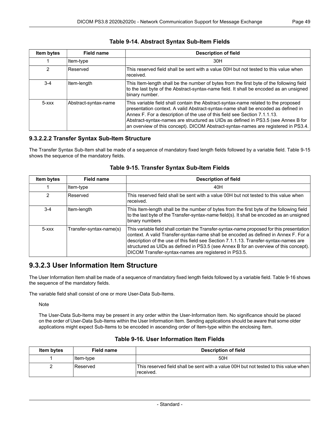<span id="page-48-1"></span>

| Item bytes      | Field name           | <b>Description of field</b>                                                                                                                                                                                                                                                                                                                                                                                                     |
|-----------------|----------------------|---------------------------------------------------------------------------------------------------------------------------------------------------------------------------------------------------------------------------------------------------------------------------------------------------------------------------------------------------------------------------------------------------------------------------------|
|                 | Item-type            | 30H                                                                                                                                                                                                                                                                                                                                                                                                                             |
| 2               | Reserved             | This reserved field shall be sent with a value 00H but not tested to this value when<br>received.                                                                                                                                                                                                                                                                                                                               |
| $3-4$           | Item-length          | This Item-length shall be the number of bytes from the first byte of the following field<br>to the last byte of the Abstract-syntax-name field. It shall be encoded as an unsigned<br>binary number.                                                                                                                                                                                                                            |
| $5 - x$ $x$ $x$ | Abstract-syntax-name | This variable field shall contain the Abstract-syntax-name related to the proposed<br>presentation context. A valid Abstract-syntax-name shall be encoded as defined in<br>Annex F. For a description of the use of this field see Section 7.1.1.13.<br>Abstract-syntax-names are structured as UIDs as defined in PS3.5 (see Annex B for<br>an overview of this concept). DICOM Abstract-syntax-names are registered in PS3.4. |

### **Table 9-14. Abstract Syntax Sub-Item Fields**

### <span id="page-48-0"></span>**9.3.2.2.2 Transfer Syntax Sub-Item Structure**

<span id="page-48-2"></span>The Transfer Syntax Sub-Item shall be made of a sequence of mandatory fixed length fields followed by a variable field. [Table](#page-48-2) 9-15 shows the sequence of the mandatory fields.

| Item bytes    | <b>Field name</b>       | <b>Description of field</b>                                                                                                                                                                                                                                                                                                                                                                                               |
|---------------|-------------------------|---------------------------------------------------------------------------------------------------------------------------------------------------------------------------------------------------------------------------------------------------------------------------------------------------------------------------------------------------------------------------------------------------------------------------|
|               | Item-type               | 40H                                                                                                                                                                                                                                                                                                                                                                                                                       |
| $\mathcal{P}$ | <b>Reserved</b>         | This reserved field shall be sent with a value 00H but not tested to this value when<br>received.                                                                                                                                                                                                                                                                                                                         |
| $3-4$         | Item-lenath             | This Item-length shall be the number of bytes from the first byte of the following field<br>to the last byte of the Transfer-syntax-name field(s). It shall be encoded as an unsigned<br>binary numbers                                                                                                                                                                                                                   |
| $5 - xxx$     | Transfer-syntax-name(s) | This variable field shall contain the Transfer-syntax-name proposed for this presentation<br>context. A valid Transfer-syntax-name shall be encoded as defined in Annex F. For a<br>description of the use of this field see Section 7.1.1.13. Transfer-syntax-names are<br>structured as UIDs as defined in PS3.5 (see Annex B for an overview of this concept).<br>DICOM Transfer-syntax-names are registered in PS3.5. |

#### **Table 9-15. Transfer Syntax Sub-Item Fields**

## **9.3.2.3 User Information Item Structure**

The User Information Item shall be made of a sequence of mandatory fixed length fields followed by a variable field. [Table](#page-48-3) 9-16 shows the sequence of the mandatory fields.

<span id="page-48-3"></span>The variable field shall consist of one or more User-Data Sub-Items.

Note

The User-Data Sub-Items may be present in any order within the User-Information Item. No significance should be placed on the order of User-Data Sub-Items within the User Information Item. Sending applications should be aware that some older applications might expect Sub-Items to be encoded in ascending order of Item-type within the enclosing Item.

| Item bytes | <b>Field name</b> | <b>Description of field</b>                                                                       |
|------------|-------------------|---------------------------------------------------------------------------------------------------|
|            | ∣ltem-t∨pe        | 50H                                                                                               |
|            | Reserved          | This reserved field shall be sent with a value 00H but not tested to this value when<br>received. |

### **Table 9-16. User Information Item Fields**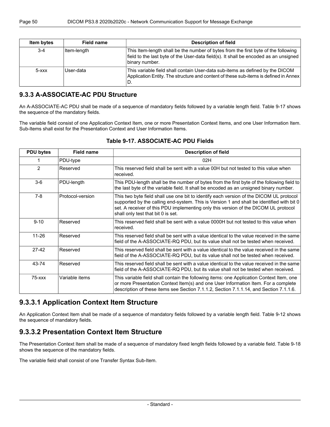| Item bytes      | Field name  | <b>Description of field</b>                                                                                                                                                                  |
|-----------------|-------------|----------------------------------------------------------------------------------------------------------------------------------------------------------------------------------------------|
| $3 - 4$         | Item-length | This Item-length shall be the number of bytes from the first byte of the following<br>field to the last byte of the User-data field(s). It shall be encoded as an unsigned<br>binary number. |
| $5 - x$ $x$ $x$ | User-data   | This variable field shall contain User-data sub-items as defined by the DICOM<br>Application Entity. The structure and content of these sub-items is defined in Annex<br>D.                  |

## **9.3.3 A-ASSOCIATE-AC PDU Structure**

An A-ASSOCIATE-AC PDU shall be made of a sequence of mandatory fields followed by a variable length field. [Table](#page-49-0) 9-17 shows the sequence of the mandatory fields.

<span id="page-49-0"></span>The variable field consist of one Application Context Item, one or more Presentation Context Items, and one User Information Item. Sub-Items shall exist for the Presentation Context and User Information Items.

| <b>PDU bytes</b> | <b>Field name</b> | <b>Description of field</b>                                                                                                                                                                                                                                                                                       |
|------------------|-------------------|-------------------------------------------------------------------------------------------------------------------------------------------------------------------------------------------------------------------------------------------------------------------------------------------------------------------|
|                  | PDU-type          | 02H                                                                                                                                                                                                                                                                                                               |
| $\mathcal{P}$    | Reserved          | This reserved field shall be sent with a value 00H but not tested to this value when<br>received.                                                                                                                                                                                                                 |
| $3-6$            | PDU-length        | This PDU-length shall be the number of bytes from the first byte of the following field to<br>the last byte of the variable field. It shall be encoded as an unsigned binary number.                                                                                                                              |
| $7-8$            | Protocol-version  | This two byte field shall use one bit to identify each version of the DICOM UL protocol<br>supported by the calling end-system. This is Version 1 and shall be identified with bit 0<br>set. A receiver of this PDU implementing only this version of the DICOM UL protocol<br>shall only test that bit 0 is set. |
| $9 - 10$         | Reserved          | This reserved field shall be sent with a value 0000H but not tested to this value when<br>received.                                                                                                                                                                                                               |
| $11 - 26$        | Reserved          | This reserved field shall be sent with a value identical to the value received in the same<br>field of the A-ASSOCIATE-RQ PDU, but its value shall not be tested when received.                                                                                                                                   |
| $27-42$          | Reserved          | This reserved field shall be sent with a value identical to the value received in the same<br>field of the A-ASSOCIATE-RQ PDU, but its value shall not be tested when received.                                                                                                                                   |
| 43-74            | Reserved          | This reserved field shall be sent with a value identical to the value received in the same<br>field of the A-ASSOCIATE-RQ PDU, but its value shall not be tested when received.                                                                                                                                   |
| $75  xxx$        | Variable items    | This variable field shall contain the following items: one Application Context Item, one<br>or more Presentation Context Item(s) and one User Information Item. For a complete<br>description of these items see Section 7.1.1.2, Section 7.1.1.14, and Section 7.1.1.6.                                          |

### **Table 9-17. ASSOCIATE-AC PDU Fields**

## **9.3.3.1 Application Context Item Structure**

An Application Context Item shall be made of a sequence of mandatory fields followed by a variable length field. [Table](#page-47-0) 9-12 shows the sequence of mandatory fields.

## **9.3.3.2 Presentation Context Item Structure**

The Presentation Context Item shall be made of a sequence of mandatory fixed length fields followed by a variable field. [Table](#page-50-0) 9-18 shows the sequence of the mandatory fields.

The variable field shall consist of one Transfer Syntax Sub-Item.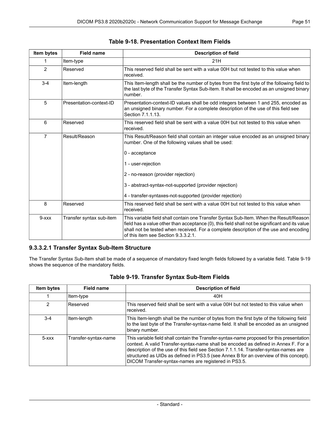<span id="page-50-0"></span>

| Item bytes     | <b>Field name</b>        | <b>Description of field</b>                                                                                                                                                                                                                                                                                                                       |
|----------------|--------------------------|---------------------------------------------------------------------------------------------------------------------------------------------------------------------------------------------------------------------------------------------------------------------------------------------------------------------------------------------------|
| 1              | Item-type                | 21H                                                                                                                                                                                                                                                                                                                                               |
| 2              | Reserved                 | This reserved field shall be sent with a value 00H but not tested to this value when<br>received.                                                                                                                                                                                                                                                 |
| $3 - 4$        | Item-length              | This Item-length shall be the number of bytes from the first byte of the following field to<br>the last byte of the Transfer Syntax Sub-Item. It shall be encoded as an unsigned binary<br>number.                                                                                                                                                |
| 5              | Presentation-context-ID  | Presentation-context-ID values shall be odd integers between 1 and 255, encoded as<br>an unsigned binary number. For a complete description of the use of this field see<br>Section 7.1.1.13.                                                                                                                                                     |
| 6              | Reserved                 | This reserved field shall be sent with a value 00H but not tested to this value when<br>received.                                                                                                                                                                                                                                                 |
| $\overline{7}$ | Result/Reason            | This Result/Reason field shall contain an integer value encoded as an unsigned binary<br>number. One of the following values shall be used:<br>$0$ - acceptance<br>1 - user-rejection<br>2 - no-reason (provider rejection)<br>3 - abstract-syntax-not-supported (provider rejection)<br>4 - transfer-syntaxes-not-supported (provider rejection) |
| 8              | Reserved                 | This reserved field shall be sent with a value 00H but not tested to this value when<br>received.                                                                                                                                                                                                                                                 |
| $9 - x x x$    | Transfer syntax sub-item | This variable field shall contain one Transfer Syntax Sub-Item. When the Result/Reason<br>field has a value other than acceptance (0), this field shall not be significant and its value<br>shall not be tested when received. For a complete description of the use and encoding<br>of this item see Section 9.3.3.2.1.                          |

### **Table 9-18. Presentation Context Item Fields**

## <span id="page-50-2"></span><span id="page-50-1"></span>**9.3.3.2.1 Transfer Syntax Sub-Item Structure**

The Transfer Syntax Sub-Item shall be made of a sequence of mandatory fixed length fields followed by a variable field. [Table](#page-50-2) 9-19 shows the sequence of the mandatory fields.

| Item bytes | Field name           | <b>Description of field</b>                                                                                                                                                                                                                                                                                                                                                                                                  |
|------------|----------------------|------------------------------------------------------------------------------------------------------------------------------------------------------------------------------------------------------------------------------------------------------------------------------------------------------------------------------------------------------------------------------------------------------------------------------|
|            | Item-type            | 40H                                                                                                                                                                                                                                                                                                                                                                                                                          |
| 2          | Reserved             | This reserved field shall be sent with a value 00H but not tested to this value when<br>received.                                                                                                                                                                                                                                                                                                                            |
| $3-4$      | Item-length          | This Item-length shall be the number of bytes from the first byte of the following field<br>to the last byte of the Transfer-syntax-name field. It shall be encoded as an unsigned<br>binary number.                                                                                                                                                                                                                         |
| $5 - xxx$  | Transfer-syntax-name | This variable field shall contain the Transfer-syntax-name proposed for this presentation<br>context. A valid Transfer-syntax-name shall be encoded as defined in Annex F. For a<br>description of the use of this field see Section 7.1.1.14. Transfer-syntax-names are<br> structured as UIDs as defined in PS3.5 (see Annex B for an overview of this concept).  <br>DICOM Transfer-syntax-names are registered in PS3.5. |

| Table 9-19. Transfer Syntax Sub-Item Fields |  |  |
|---------------------------------------------|--|--|
|                                             |  |  |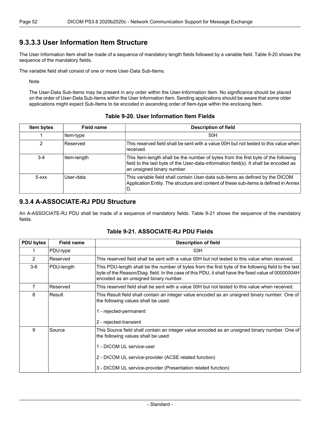## **9.3.3.3 User Information Item Structure**

The User Information Item shall be made of a sequence of mandatory length fields followed by a variable field. [Table](#page-51-0) 9-20 shows the sequence of the mandatory fields.

The variable field shall consist of one or more User-Data Sub-Items.

**Note** 

<span id="page-51-0"></span>The User-Data Sub-Items may be present in any order within the User-Information Item. No significance should be placed on the order of User-Data Sub-Items within the User Information Item. Sending applications should be aware that some older applications might expect Sub-Items to be encoded in ascending order of Item-type within the enclosing Item.

#### **Table 9-20. User Information Item Fields**

| Item bytes      | <b>Field name</b> | <b>Description of field</b>                                                                                                                                                                              |
|-----------------|-------------------|----------------------------------------------------------------------------------------------------------------------------------------------------------------------------------------------------------|
|                 | Item-type         | 50H                                                                                                                                                                                                      |
| 2               | Reserved          | This reserved field shall be sent with a value 00H but not tested to this value when<br>received.                                                                                                        |
| $3 - 4$         | Item-length       | This Item-length shall be the number of bytes from the first byte of the following<br>field to the last byte of the User-data-information field(s). It shall be encoded as<br>an unsigned binary number. |
| $5 - x$ $x$ $x$ | User-data         | This variable field shall contain User-data sub-items as defined by the DICOM<br>Application Entity. The structure and content of these sub-items is defined in Annex<br>ID.                             |

## **9.3.4 A-ASSOCIATE-RJ PDU Structure**

<span id="page-51-1"></span>An A-ASSOCIATE-RJ PDU shall be made of a sequence of mandatory fields. [Table](#page-51-1) 9-21 shows the sequence of the mandatory fields.

| <b>PDU bytes</b> | <b>Field name</b> | <b>Description of field</b>                                                                                                                                                                                                                                                                 |
|------------------|-------------------|---------------------------------------------------------------------------------------------------------------------------------------------------------------------------------------------------------------------------------------------------------------------------------------------|
|                  | PDU-type          | 03H                                                                                                                                                                                                                                                                                         |
| 2                | Reserved          | This reserved field shall be sent with a value 00H but not tested to this value when received.                                                                                                                                                                                              |
| $3-6$            | PDU-length        | This PDU-length shall be the number of bytes from the first byte of the following field to the last<br>byte of the Reason/Diag. field. In the case of this PDU, it shall have the fixed value of 00000004H<br>encoded as an unsigned binary number.                                         |
| $\overline{7}$   | Reserved          | This reserved field shall be sent with a value 00H but not tested to this value when received.                                                                                                                                                                                              |
| 8                | Result            | This Result field shall contain an integer value encoded as an unsigned binary number. One of<br>the following values shall be used:<br>1 - rejected-permanent<br>2 - rejected-transient                                                                                                    |
| 9                | Source            | This Source field shall contain an integer value encoded as an unsigned binary number. One of<br>the following values shall be used:<br>1 - DICOM UL service-user<br>2 - DICOM UL service-provider (ACSE related function)<br>3 - DICOM UL service-provider (Presentation related function) |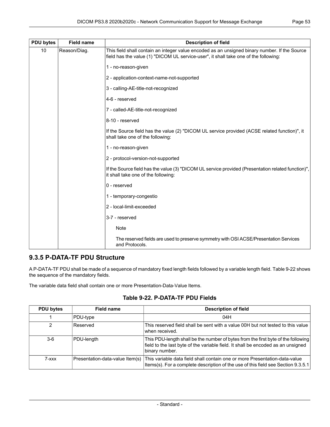| <b>PDU bytes</b> | <b>Field name</b> | <b>Description of field</b>                                                                                                                                                           |
|------------------|-------------------|---------------------------------------------------------------------------------------------------------------------------------------------------------------------------------------|
| 10               | Reason/Diag.      | This field shall contain an integer value encoded as an unsigned binary number. If the Source<br>field has the value (1) "DICOM UL service-user", it shall take one of the following: |
|                  |                   | 1 - no-reason-given                                                                                                                                                                   |
|                  |                   | 2 - application-context-name-not-supported                                                                                                                                            |
|                  |                   | 3 - calling-AE-title-not-recognized                                                                                                                                                   |
|                  |                   | 4-6 - reserved                                                                                                                                                                        |
|                  |                   | 7 - called-AE-title-not-recognized                                                                                                                                                    |
|                  |                   | 8-10 - reserved                                                                                                                                                                       |
|                  |                   | If the Source field has the value (2) "DICOM UL service provided (ACSE related function)", it<br>shall take one of the following:                                                     |
|                  |                   | 1 - no-reason-given                                                                                                                                                                   |
|                  |                   | 2 - protocol-version-not-supported                                                                                                                                                    |
|                  |                   | If the Source field has the value (3) "DICOM UL service provided (Presentation related function)",<br>it shall take one of the following:                                             |
|                  |                   | $0$ - reserved                                                                                                                                                                        |
|                  |                   | 1 - temporary-congestio                                                                                                                                                               |
|                  |                   | 2 - local-limit-exceeded                                                                                                                                                              |
|                  |                   | 3-7 - reserved                                                                                                                                                                        |
|                  |                   | <b>Note</b>                                                                                                                                                                           |
|                  |                   | The reserved fields are used to preserve symmetry with OSI ACSE/Presentation Services<br>and Protocols.                                                                               |

## **9.3.5 P-DATA-TF PDU Structure**

<span id="page-52-0"></span>A P-DATA-TF PDU shall be made of a sequence of mandatory fixed length fields followed by a variable length field. [Table](#page-52-0) 9-22 shows the sequence of the mandatory fields.

The variable data field shall contain one or more Presentation-Data-Value Items.

#### **Table 9-22. P-DATA-TF PDU Fields**

| <b>PDU bytes</b> | <b>Field name</b> | <b>Description of field</b>                                                                                                                                                                     |
|------------------|-------------------|-------------------------------------------------------------------------------------------------------------------------------------------------------------------------------------------------|
|                  | PDU-type          | 04H                                                                                                                                                                                             |
|                  | Reserved          | This reserved field shall be sent with a value 00H but not tested to this value<br>when received.                                                                                               |
| $3-6$            | PDU-length        | This PDU-length shall be the number of bytes from the first byte of the following<br>field to the last byte of the variable field. It shall be encoded as an unsigned<br>binary number.         |
| 7-xxx            |                   | Presentation-data-value Item(s) This variable data field shall contain one or more Presentation-data-value<br>Items(s). For a complete description of the use of this field see Section 9.3.5.1 |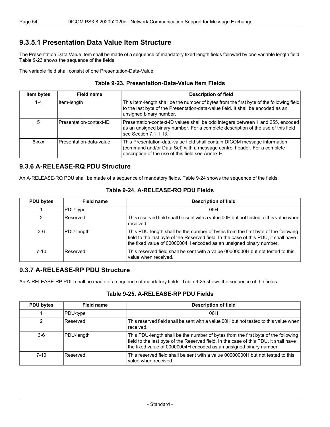## <span id="page-53-0"></span>**9.3.5.1 Presentation Data Value Item Structure**

The Presentation Data Value Item shall be made of a sequence of mandatory fixed length fields followed by one variable length field. [Table](#page-53-1) 9-23 shows the sequence of the fields.

<span id="page-53-1"></span>The variable field shall consist of one Presentation-Data-Value.

| Table 9-23. Presentation-Data-Value Item Fields |  |
|-------------------------------------------------|--|
|-------------------------------------------------|--|

| Item bytes | Field name              | <b>Description of field</b>                                                                                                                                                                                |
|------------|-------------------------|------------------------------------------------------------------------------------------------------------------------------------------------------------------------------------------------------------|
| $1 - 4$    | Item-length             | This Item-length shall be the number of bytes from the first byte of the following field<br>to the last byte of the Presentation-data-value field. It shall be encoded as an<br>unsigned binary number.    |
| 5          | Presentation-context-ID | Presentation-context-ID values shall be odd integers between 1 and 255, encoded<br>as an unsigned binary number. For a complete description of the use of this field<br>see Section 7.1.1.13.              |
| $6 - xxx$  | Presentation-data-value | This Presentation-data-value field shall contain DICOM message information<br>(command and/or Data Set) with a message control header. For a complete<br>description of the use of this field see Annex E. |

## <span id="page-53-2"></span>**9.3.6 A-RELEASE-RQ PDU Structure**

An A-RELEASE-RQ PDU shall be made of a sequence of mandatory fields. [Table](#page-53-2) 9-24 shows the sequence of the fields.

| <b>PDU bytes</b> | Field name | <b>Description of field</b>                                                                                                                                                                                                                     |
|------------------|------------|-------------------------------------------------------------------------------------------------------------------------------------------------------------------------------------------------------------------------------------------------|
|                  | PDU-type   | 05H                                                                                                                                                                                                                                             |
| 2                | Reserved   | This reserved field shall be sent with a value 00H but not tested to this value when<br>received.                                                                                                                                               |
| 3-6              | PDU-length | This PDU-length shall be the number of bytes from the first byte of the following<br>field to the last byte of the Reserved field. In the case of this PDU, it shall have<br>the fixed value of 00000004H encoded as an unsigned binary number. |
| $7 - 10$         | Reserved   | This reserved field shall be sent with a value 00000000H but not tested to this<br>value when received.                                                                                                                                         |

#### **Table 9-24. A-RELEASE-RQ PDU Fields**

## <span id="page-53-3"></span>**9.3.7 A-RELEASE-RP PDU Structure**

An A-RELEASE-RP PDU shall be made of a sequence of mandatory fields. [Table](#page-53-3) 9-25 shows the sequence of the fields.

#### **Table 9-25. A-RELEASE-RP PDU Fields**

| <b>PDU bytes</b> | Field name | Description of field                                                                                                                                                                                                                            |
|------------------|------------|-------------------------------------------------------------------------------------------------------------------------------------------------------------------------------------------------------------------------------------------------|
|                  | PDU-type   | 06H                                                                                                                                                                                                                                             |
| 2                | Reserved   | This reserved field shall be sent with a value 00H but not tested to this value when<br>received.                                                                                                                                               |
| 3-6              | PDU-length | This PDU-length shall be the number of bytes from the first byte of the following<br>field to the last byte of the Reserved field. In the case of this PDU, it shall have<br>the fixed value of 00000004H encoded as an unsigned binary number. |
| $7-10$           | Reserved   | This reserved field shall be sent with a value 00000000H but not tested to this<br>value when received.                                                                                                                                         |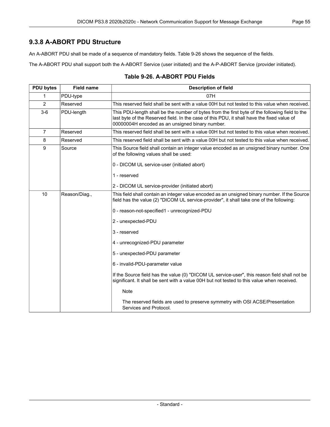## **9.3.8 A-ABORT PDU Structure**

An A-ABORT PDU shall be made of a sequence of mandatory fields. [Table](#page-54-0) 9-26 shows the sequence of the fields.

<span id="page-54-0"></span>The A-ABORT PDU shall support both the A-ABORT Service (user initiated) and the A-P-ABORT Service (provider initiated).

| <b>PDU bytes</b> | <b>Field name</b> | <b>Description of field</b>                                                                                                                                                                                                                     |
|------------------|-------------------|-------------------------------------------------------------------------------------------------------------------------------------------------------------------------------------------------------------------------------------------------|
| 1                | PDU-type          | 07H                                                                                                                                                                                                                                             |
| $\overline{2}$   | Reserved          | This reserved field shall be sent with a value 00H but not tested to this value when received.                                                                                                                                                  |
| $3-6$            | PDU-length        | This PDU-length shall be the number of bytes from the first byte of the following field to the<br>last byte of the Reserved field. In the case of this PDU, it shall have the fixed value of<br>00000004H encoded as an unsigned binary number. |
| $\overline{7}$   | Reserved          | This reserved field shall be sent with a value 00H but not tested to this value when received.                                                                                                                                                  |
| 8                | Reserved          | This reserved field shall be sent with a value 00H but not tested to this value when received.                                                                                                                                                  |
| 9                | Source            | This Source field shall contain an integer value encoded as an unsigned binary number. One<br>of the following values shall be used:                                                                                                            |
|                  |                   | 0 - DICOM UL service-user (initiated abort)                                                                                                                                                                                                     |
|                  |                   | 1 - reserved                                                                                                                                                                                                                                    |
|                  |                   | 2 - DICOM UL service-provider (initiated abort)                                                                                                                                                                                                 |
| 10               | Reason/Diag.,     | This field shall contain an integer value encoded as an unsigned binary number. If the Source<br>field has the value (2) "DICOM UL service-provider", it shall take one of the following:                                                       |
|                  |                   | 0 - reason-not-specified1 - unrecognized-PDU                                                                                                                                                                                                    |
|                  |                   | 2 - unexpected-PDU                                                                                                                                                                                                                              |
|                  |                   | 3 - reserved                                                                                                                                                                                                                                    |
|                  |                   | 4 - unrecognized-PDU parameter                                                                                                                                                                                                                  |
|                  |                   | 5 - unexpected-PDU parameter                                                                                                                                                                                                                    |
|                  |                   | 6 - invalid-PDU-parameter value                                                                                                                                                                                                                 |
|                  |                   | If the Source field has the value (0) "DICOM UL service-user", this reason field shall not be<br>significant. It shall be sent with a value 00H but not tested to this value when received.                                                     |
|                  |                   | <b>Note</b>                                                                                                                                                                                                                                     |
|                  |                   | The reserved fields are used to preserve symmetry with OSI ACSE/Presentation<br>Services and Protocol.                                                                                                                                          |

### **Table 9-26. A-ABORT PDU Fields**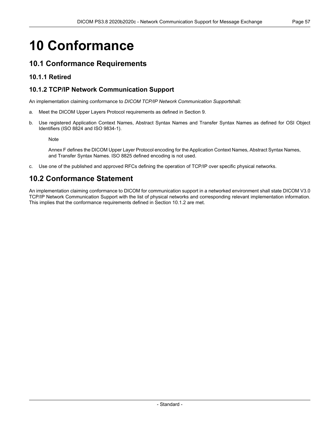# **10 Conformance**

## **10.1 Conformance Requirements**

## <span id="page-56-0"></span>**10.1.1 Retired**

## **10.1.2 TCP/IP Network Communication Support**

An implementation claiming conformance to *DICOM TCP/IP Network Communication Support*shall:

- a. Meet the DICOM Upper Layers Protocol requirements as defined in Section 9.
- b. Use registered Application Context Names, Abstract Syntax Names and Transfer Syntax Names as defined for OSI Object Identifiers (ISO 8824 and ISO 9834-1).

Note

[Annex](#page-68-0) F defines the DICOM Upper Layer Protocol encoding for the Application Context Names, Abstract Syntax Names, and Transfer Syntax Names. ISO 8825 defined encoding is not used.

c. Use one of the published and approved RFCs defining the operation of TCP/IP over specific physical networks.

# **10.2 Conformance Statement**

An implementation claiming conformance to DICOM for communication support in a networked environment shall state DICOM V3.0 TCP/IP Network Communication Support with the list of physical networks and corresponding relevant implementation information. This implies that the conformance requirements defined in [Section](#page-56-0) 10.1.2 are met.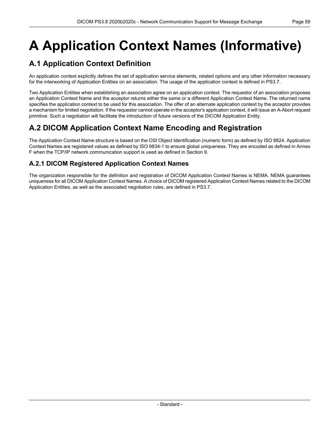# <span id="page-58-0"></span>**A Application Context Names (Informative)**

# **A.1 Application Context Definition**

An application context explicitly defines the set of application service elements, related options and any other information necessary for the interworking of Application Entities on an association. The usage of the application context is defined in [PS3.7](part07.pdf#PS3.7).

Two Application Entities when establishing an association agree on an application context. The requestor of an association proposes an Application Context Name and the acceptor returns either the same or a different Application Context Name. The returned name specifies the application context to be used for this association. The offer of an alternate application context by the acceptor provides a mechanism for limited negotiation. If the requestor cannot operate in the acceptor's application context, it will issue an A-Abort request primitive. Such a negotiation will facilitate the introduction of future versions of the DICOM Application Entity.

# **A.2 DICOM Application Context Name Encoding and Registration**

The Application Context Name structure is based on the OSI Object Identification (numeric form) as defined by ISO 8824. Application Context Names are registered values as defined by ISO 9834-1 to ensure global uniqueness. They are encoded as defined in [Annex](#page-68-0) [F](#page-68-0) when the TCP/IP network communication support is used as defined in Section 9.

## **A.2.1 DICOM Registered Application Context Names**

The organization responsible for the definition and registration of DICOM Application Context Names is NEMA. NEMA guarantees uniqueness for all DICOM Application Context Names. A choice of DICOM registered Application Context Names related to the DICOM Application Entities, as well as the associated negotiation rules, are defined in [PS3.7.](part07.pdf#PS3.7)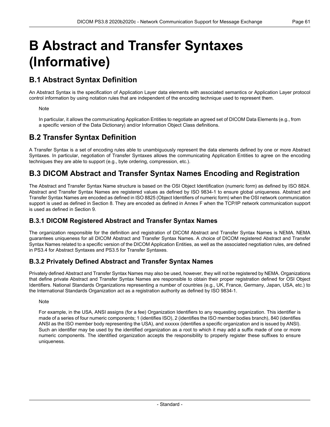# <span id="page-60-0"></span>**B Abstract and Transfer Syntaxes (Informative)**

# **B.1 Abstract Syntax Definition**

An Abstract Syntax is the specification of Application Layer data elements with associated semantics or Application Layer protocol control information by using notation rules that are independent of the encoding technique used to represent them.

#### **Note**

In particular, it allows the communicating Application Entities to negotiate an agreed set of DICOM Data Elements (e.g., from a specific version of the Data Dictionary) and/or Information Object Class definitions.

## **B.2 Transfer Syntax Definition**

A Transfer Syntax is a set of encoding rules able to unambiguously represent the data elements defined by one or more Abstract Syntaxes. In particular, negotiation of Transfer Syntaxes allows the communicating Application Entities to agree on the encoding techniques they are able to support (e.g., byte ordering, compression, etc.).

## **B.3 DICOM Abstract and Transfer Syntax Names Encoding and Registration**

The Abstract and Transfer Syntax Name structure is based on the OSI Object Identification (numeric form) as defined by ISO 8824. Abstract and Transfer Syntax Names are registered values as defined by ISO 9834-1 to ensure global uniqueness. Abstract and Transfer Syntax Names are encoded as defined in ISO 8825 (Object Identifiers of numeric form) when the OSI network communication support is used as defined in Section 8. They are encoded as defined in [Annex](#page-68-0) F when the TCP/IP network communication support is used as defined in Section 9.

## **B.3.1 DICOM Registered Abstract and Transfer Syntax Names**

The organization responsible for the definition and registration of DICOM Abstract and Transfer Syntax Names is NEMA. NEMA guarantees uniqueness for all DICOM Abstract and Transfer Syntax Names. A choice of DICOM registered Abstract and Transfer Syntax Names related to a specific version of the DICOM Application Entities, as well as the associated negotiation rules, are defined in [PS3.4](part04.pdf#PS3.4) for Abstract Syntaxes and [PS3.5](part05.pdf#PS3.5) for Transfer Syntaxes.

## **B.3.2 Privately Defined Abstract and Transfer Syntax Names**

Privately defined Abstract and Transfer Syntax Names may also be used, however, they will not be registered by NEMA. Organizations that define private Abstract and Transfer Syntax Names are responsible to obtain their proper registration defined for OSI Object Identifiers. National Standards Organizations representing a number of countries (e.g., UK, France, Germany, Japan, USA, etc.) to the International Standards Organization act as a registration authority as defined by ISO 9834-1.

#### **Note**

For example, in the USA, ANSI assigns (for a fee) Organization Identifiers to any requesting organization. This identifier is made of a series of four numeric components; 1 (identifies ISO), 2 (identifies the ISO member bodies branch), 840 (identifies ANSI as the ISO member body representing the USA), and xxxxxx (identifies a specific organization and is issued by ANSI). Such an identifier may be used by the identified organization as a root to which it may add a suffix made of one or more numeric components. The identified organization accepts the responsibility to properly register these suffixes to ensure uniqueness.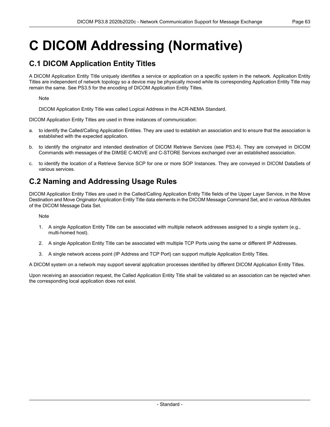# **C DICOM Addressing (Normative)**

## **C.1 DICOM Application Entity Titles**

A DICOM Application Entity Title uniquely identifies a service or application on a specific system in the network. Application Entity Titles are independent of network topology so a device may be physically moved while its corresponding Application Entity Title may remain the same. See [PS3.5](part05.pdf#PS3.5) for the encoding of DICOM Application Entity Titles.

Note

DICOM Application Entity Title was called Logical Address in the ACR-NEMA Standard.

DICOM Application Entity Titles are used in three instances of communication:

- a. to identify the Called/Calling Application Entities. They are used to establish an association and to ensure that the association is established with the expected application.
- b. to identify the originator and intended destination of DICOM Retrieve Services (see [PS3.4](part04.pdf#PS3.4)). They are conveyed in DICOM Commands with messages of the DIMSE C-MOVE and C-STORE Services exchanged over an established association.
- c. to identify the location of a Retrieve Service SCP for one or more SOP Instances. They are conveyed in DICOM DataSets of various services.

## **C.2 Naming and Addressing Usage Rules**

DICOM Application Entity Titles are used in the Called/Calling Application Entity Title fields of the Upper Layer Service, in the Move Destination and Move Originator Application Entity Title data elements in the DICOM Message Command Set, and in various Attributes of the DICOM Message Data Set.

Note

- 1. A single Application Entity Title can be associated with multiple network addresses assigned to a single system (e.g., multi-homed host).
- 2. A single Application Entity Title can be associated with multiple TCP Ports using the same or different IP Addresses.
- 3. A single network access point (IP Address and TCP Port) can support multiple Application Entity Titles.

A DICOM system on a network may support several application processes identified by different DICOM Application Entity Titles.

Upon receiving an association request, the Called Application Entity Title shall be validated so an association can be rejected when the corresponding local application does not exist.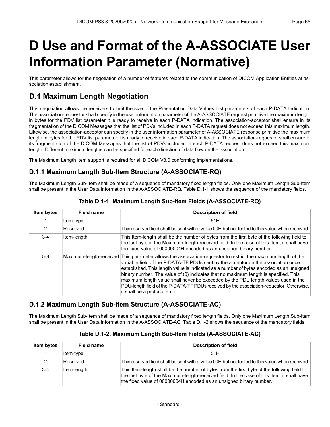# <span id="page-64-0"></span>**D Use and Format of the A-ASSOCIATE User Information Parameter (Normative)**

This parameter allows for the negotiation of a number of features related to the communication of DICOM Application Entities at as sociation establishment.

# **D.1 Maximum Length Negotiation**

This negotiation allows the receivers to limit the size of the Presentation Data Values List parameters of each P-DATA Indication. The association-requestor shall specify in the user information parameter of the A-ASSOCIATE request primitive the maximum length in bytes for the PDV list parameter it is ready to receive in each P-DATA indication. The association-acceptor shall ensure in its fragmentation of the DICOM Messages that the list of PDVs included in each P-DATA request does not exceed this maximum length. Likewise, the association-acceptor can specify in the user information parameter of A-ASSOCIATE response primitive the maximum length in bytes for the PDV list parameter it is ready to receive in each P-DATA indication. The association-requestor shall ensure in its fragmentation of the DICOM Messages that the list of PDVs included in each P-DATA request does not exceed this maximum length. Different maximum lengths can be specified for each direction of data flow on the association.

The Maximum Length Item support is required for all DICOM V3.0 conforming implementations.

## **D.1.1 Maximum Length Sub-Item Structure (A-ASSOCIATE-RQ)**

<span id="page-64-1"></span>The Maximum Length Sub-Item shall be made of a sequence of mandatory fixed length fields. Only one Maximum Length Sub-Item shall be present in the User Data information in the A-ASSOCIATE-RQ. [Table](#page-64-1) D.1-1 shows the sequence of the mandatory fields.

| Item bytes | <b>Field name</b> | <b>Description of field</b>                                                                                                                                                                                                                                                                                                                                                                                                                                                                                                                                                                            |
|------------|-------------------|--------------------------------------------------------------------------------------------------------------------------------------------------------------------------------------------------------------------------------------------------------------------------------------------------------------------------------------------------------------------------------------------------------------------------------------------------------------------------------------------------------------------------------------------------------------------------------------------------------|
|            | Item-type         | 51H                                                                                                                                                                                                                                                                                                                                                                                                                                                                                                                                                                                                    |
| 2          | Reserved          | This reserved field shall be sent with a value 00H but not tested to this value when received.                                                                                                                                                                                                                                                                                                                                                                                                                                                                                                         |
| $3 - 4$    | Item-length       | This Item-length shall be the number of bytes from the first byte of the following field to<br>the last byte of the Maximum-length-received field. In the case of this Item, it shall have<br>the fixed value of 00000004H encoded as an unsigned binary number.                                                                                                                                                                                                                                                                                                                                       |
| $5 - 8$    |                   | Maximum-length-received This parameter allows the association-requestor to restrict the maximum length of the<br>variable field of the P-DATA-TF PDUs sent by the acceptor on the association once<br>established. This length value is indicated as a number of bytes encoded as an unsigned<br>binary number. The value of (0) indicates that no maximum length is specified. This<br>maximum length value shall never be exceeded by the PDU length values used in the<br>PDU-length field of the P-DATA-TF PDUs received by the association-requestor. Otherwise,<br>it shall be a protocol error. |

## **Table D.1-1. Maximum Length Sub-Item Fields (A-ASSOCIATE-RQ)**

## <span id="page-64-2"></span>**D.1.2 Maximum Length Sub-Item Structure (A-ASSOCIATE-AC)**

The Maximum Length Sub-Item shall be made of a sequence of mandatory fixed length fields. Only one Maximum Length Sub-Item shall be present in the User Data information in the A-ASSOCIATE-AC. [Table](#page-64-2) D.1-2 shows the sequence of the mandatory fields.

| <b>Item bytes</b> | Field name  | <b>Description of field</b>                                                                                                                                                                                                                                      |
|-------------------|-------------|------------------------------------------------------------------------------------------------------------------------------------------------------------------------------------------------------------------------------------------------------------------|
|                   | ltem-type   | 51H                                                                                                                                                                                                                                                              |
| 2                 | l Reserved  | This reserved field shall be sent with a value 00H but not tested to this value when received.                                                                                                                                                                   |
| $3-4$             | Item-length | This Item-length shall be the number of bytes from the first byte of the following field to<br>the last byte of the Maximum-length-received field. In the case of this Item, it shall have<br>the fixed value of 00000004H encoded as an unsigned binary number. |

### **Table D.1-2. Maximum Length Sub-Item Fields (A-ASSOCIATE-AC)**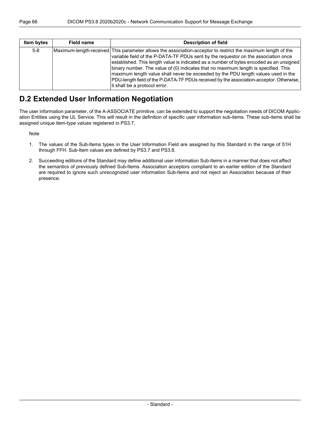| <b>Item bytes</b> | Field name | <b>Description of field</b>                                                                                                                                                                                                                                                                                                                                                                                                                                                                                                                                                                           |
|-------------------|------------|-------------------------------------------------------------------------------------------------------------------------------------------------------------------------------------------------------------------------------------------------------------------------------------------------------------------------------------------------------------------------------------------------------------------------------------------------------------------------------------------------------------------------------------------------------------------------------------------------------|
| $5-8$             |            | Maximum-length-received This parameter allows the association-acceptor to restrict the maximum length of the<br>variable field of the P-DATA-TF PDUs sent by the requestor on the association once<br>established. This length value is indicated as a number of bytes encoded as an unsigned<br>binary number. The value of (0) indicates that no maximum length is specified. This<br>maximum length value shall never be exceeded by the PDU length values used in the<br>PDU-length field of the P-DATA-TF PDUs received by the association-acceptor. Otherwise,<br>it shall be a protocol error. |

## **D.2 Extended User Information Negotiation**

The user information parameter, of the A-ASSOCIATE primitive, can be extended to support the negotiation needs of DICOM Applic ation Entities using the UL Service. This will result in the definition of specific user information sub-items. These sub-items shall be assigned unique item-type values registered in [PS3.7](part07.pdf#PS3.7).

Note

- 1. The values of the Sub-Items types in the User Information Field are assigned by this Standard in the range of 51H through FFH. Sub-Item values are defined by [PS3.7](part07.pdf#PS3.7) and [PS3.8](#page-0-0).
- 2. Succeeding editions of the Standard may define additional user information Sub-Items in a manner that does not affect the semantics of previously defined Sub-Items. Association acceptors compliant to an earlier edition of the Standard are required to ignore such unrecognized user information Sub-Items and not reject an Association because of their presence.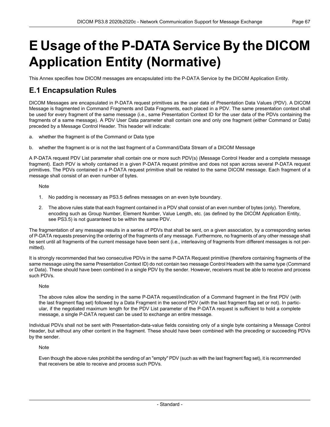# <span id="page-66-0"></span>**E Usage of the P-DATA Service By the DICOM Application Entity (Normative)**

This Annex specifies how DICOM messages are encapsulated into the P-DATA Service by the DICOM Application Entity.

## **E.1 Encapsulation Rules**

DICOM Messages are encapsulated in P-DATA request primitives as the user data of Presentation Data Values (PDV). A DICOM Message is fragmented in Command Fragments and Data Fragments, each placed in a PDV. The same presentation context shall be used for every fragment of the same message (i.e., same Presentation Context ID for the user data of the PDVs containing the fragments of a same message). A PDV User Data parameter shall contain one and only one fragment (either Command or Data) preceded by a Message Control Header. This header will indicate:

- a. whether the fragment is of the Command or Data type
- b. whether the fragment is or is not the last fragment of a Command/Data Stream of a DICOM Message

A P-DATA request PDV List parameter shall contain one or more such PDV(s) (Message Control Header and a complete message fragment). Each PDV is wholly contained in a given P-DATA request primitive and does not span across several P-DATA request primitives. The PDVs contained in a P-DATA request primitive shall be related to the same DICOM message. Each fragment of a message shall consist of an even number of bytes.

Note

- 1. No padding is necessary as [PS3.5](part05.pdf#PS3.5) defines messages on an even byte boundary.
- 2. The above rules state that each fragment contained in a PDV shall consist of an even number of bytes (only). Therefore, encoding such as Group Number, Element Number, Value Length, etc. (as defined by the DICOM Application Entity, see [PS3.5](part05.pdf#PS3.5)) is not guaranteed to be within the same PDV.

The fragmentation of any message results in a series of PDVs that shall be sent, on a given association, by a corresponding series of P-DATA requests preserving the ordering of the fragments of any message. Furthermore, no fragments of any other message shall be sent until all fragments of the current message have been sent (i.e., interleaving of fragments from different messages is not per mitted).

It is strongly recommended that two consecutive PDVs in the same P-DATA Request primitive (therefore containing fragments of the same message using the same Presentation Context ID) do not contain two message Control Headers with the same type (Command or Data). These should have been combined in a single PDV by the sender. However, receivers must be able to receive and process such PDVs.

#### **Note**

The above rules allow the sending in the same P-DATA request/indication of a Command fragment in the first PDV (with the last fragment flag set) followed by a Data Fragment in the second PDV (with the last fragment flag set or not). In partic ular, if the negotiated maximum length for the PDV List parameter of the P-DATA request is sufficient to hold a complete message, a single P-DATA request can be used to exchange an entire message.

Individual PDVs shall not be sent with Presentation-data-value fields consisting only of a single byte containing a Message Control Header, but without any other content in the fragment. These should have been combined with the preceding or succeeding PDVs by the sender.

Note

Even though the above rules prohibit the sending of an "empty" PDV (such as with the last fragment flag set), it is recommended that receivers be able to receive and process such PDVs.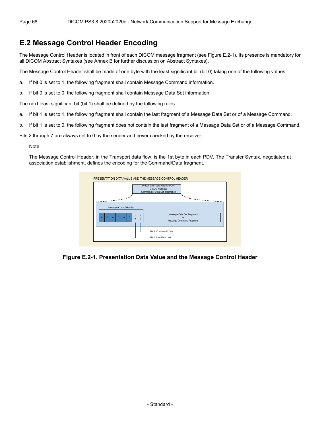## **E.2 Message Control Header Encoding**

The Message Control Header is located in front of each DICOM message fragment (see [Figure](#page-67-0) E.2-1). Its presence is mandatory for all DICOM Abstract Syntaxes (see [Annex](#page-60-0) B for further discussion on Abstract Syntaxes).

The Message Control Header shall be made of one byte with the least significant bit (bit 0) taking one of the following values:

- a. If bit 0 is set to 1, the following fragment shall contain Message Command information.
- b. If bit 0 is set to 0, the following fragment shall contain Message Data Set information.

The next least significant bit (bit 1) shall be defined by the following rules:

- a. If bit 1 is set to 1, the following fragment shall contain the last fragment of a Message Data Set or of a Message Command.
- b. If bit 1 is set to 0, the following fragment does not contain the last fragment of a Message Data Set or of a Message Command.

Bits 2 through 7 are always set to 0 by the sender and never checked by the receiver.

#### Note

<span id="page-67-0"></span>The Message Control Header, in the Transport data flow, is the 1st byte in each PDV. The Transfer Syntax, negotiated at association establishment, defines the encoding for the Command/Data fragment.



**Figure E.2-1. Presentation Data Value and the Message Control Header**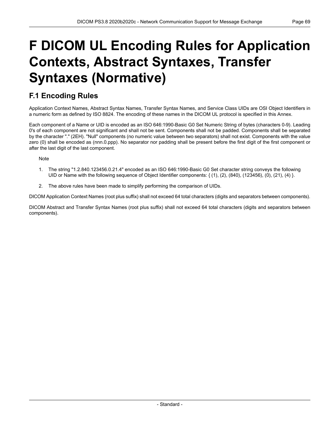# <span id="page-68-0"></span>**F DICOM UL Encoding Rules for Application Contexts, Abstract Syntaxes, Transfer Syntaxes (Normative)**

# **F.1 Encoding Rules**

Application Context Names, Abstract Syntax Names, Transfer Syntax Names, and Service Class UIDs are OSI Object Identifiers in a numeric form as defined by ISO 8824. The encoding of these names in the DICOM UL protocol is specified in this Annex.

Each component of a Name or UID is encoded as an ISO 646:1990-Basic G0 Set Numeric String of bytes (characters 0-9). Leading 0's of each component are not significant and shall not be sent. Components shall not be padded. Components shall be separated by the character "." (2EH). "Null" components (no numeric value between two separators) shall not exist. Components with the value zero (0) shall be encoded as (nnn.0.ppp). No separator nor padding shall be present before the first digit of the first component or after the last digit of the last component.

**Note** 

- 1. The string "1.2.840.123456.0.21.4" encoded as an ISO 646:1990-Basic G0 Set character string conveys the following UID or Name with the following sequence of Object Identifier components: { (1), (2), (840), (123456), (0), (21), (4) }.
- 2. The above rules have been made to simplify performing the comparison of UIDs.

DICOM Application Context Names (root plus suffix) shall not exceed 64 total characters (digits and separators between components).

DICOM Abstract and Transfer Syntax Names (root plus suffix) shall not exceed 64 total characters (digits and separators between components).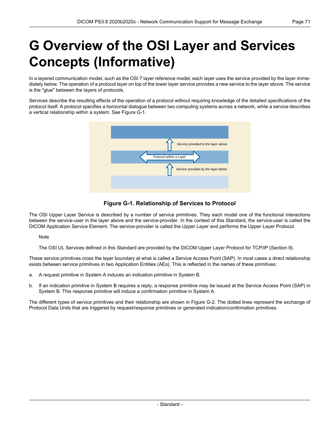# **G Overview of the OSI Layer and Services Concepts (Informative)**

In a layered communication model, such as the OSI 7 layer reference model, each layer uses the service provided by the layer imme diately below. The operation of a protocol layer on top of the lower layer service provides a new service to the layer above. The service is the "glue" between the layers of protocols.

<span id="page-70-0"></span>Services describe the resulting effects of the operation of a protocol without requiring knowledge of the detailed specifications of the protocol itself. A protocol specifies a horizontal dialogue between two computing systems across a network, while a service describes a vertical relationship within a system. See [Figure](#page-70-0) G-1.



## **Figure G-1. Relationship of Services to Protocol**

The OSI Upper Layer Service is described by a number of service primitives. They each model one of the functional interactions between the service-user in the layer above and the service-provider. In the context of this Standard, the service-user is called the DICOM Application Service Element. The service-provider is called the Upper Layer and performs the Upper Layer Protocol.

**Note** 

The OSI UL Services defined in this Standard are provided by the DICOM Upper Layer Protocol for TCP/IP (Section 9).

These service primitives cross the layer boundary at what is called a Service Access Point (SAP). In most cases a direct relationship exists between service primitives in two Application Entities (AEs). This is reflected in the names of these primitives:

- a. A request primitive in System A induces an indication primitive in System B.
- b. If an indication primitive in System B requires a reply, a response primitive may be issued at the Service Access Point (SAP) in System B. This response primitive will induce a confirmation primitive in System A.

The different types of service primitives and their relationship are shown in [Figure](#page-71-0) G-2. The dotted lines represent the exchange of Protocol Data Units that are triggered by request/response primitives or generated indication/confirmation primitives.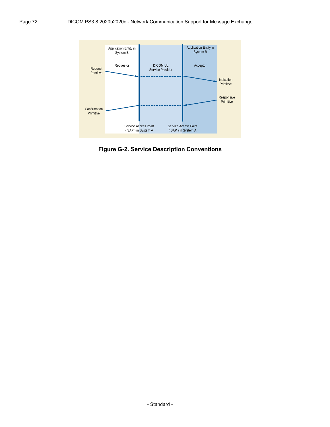<span id="page-71-0"></span>

**Figure G-2. Service Description Conventions**